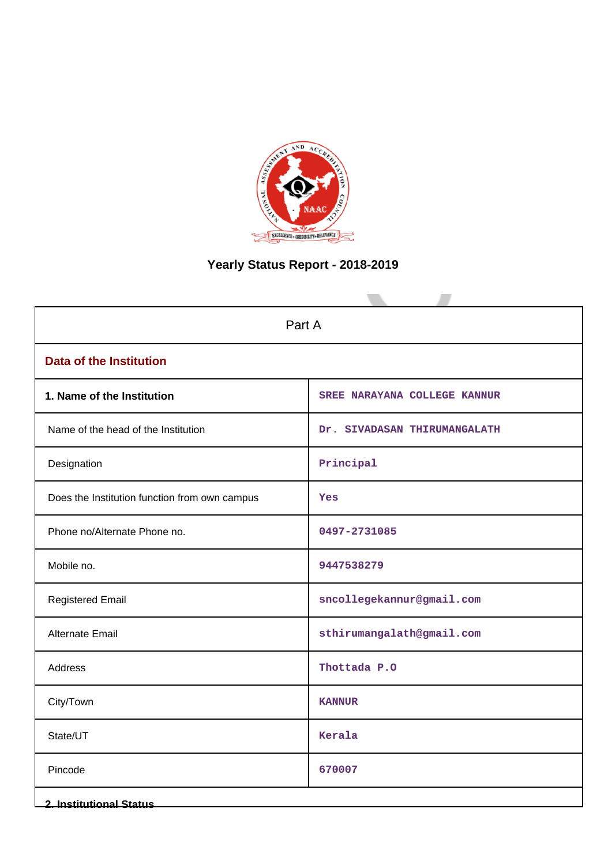

# **Yearly Status Report - 2018-2019**

| Part A                                        |                              |  |  |  |
|-----------------------------------------------|------------------------------|--|--|--|
| <b>Data of the Institution</b>                |                              |  |  |  |
| 1. Name of the Institution                    | SREE NARAYANA COLLEGE KANNUR |  |  |  |
| Name of the head of the Institution           | Dr. SIVADASAN THIRUMANGALATH |  |  |  |
| Designation                                   | Principal                    |  |  |  |
| Does the Institution function from own campus | Yes                          |  |  |  |
| Phone no/Alternate Phone no.                  | 0497-2731085                 |  |  |  |
| Mobile no.                                    | 9447538279                   |  |  |  |
| <b>Registered Email</b>                       | sncollegekannur@gmail.com    |  |  |  |
| Alternate Email                               | sthirumangalath@gmail.com    |  |  |  |
| Address                                       | Thottada P.O                 |  |  |  |
| City/Town                                     | <b>KANNUR</b>                |  |  |  |
| State/UT                                      | Kerala                       |  |  |  |
| Pincode                                       | 670007                       |  |  |  |
| <b>2. Institutional Status</b>                |                              |  |  |  |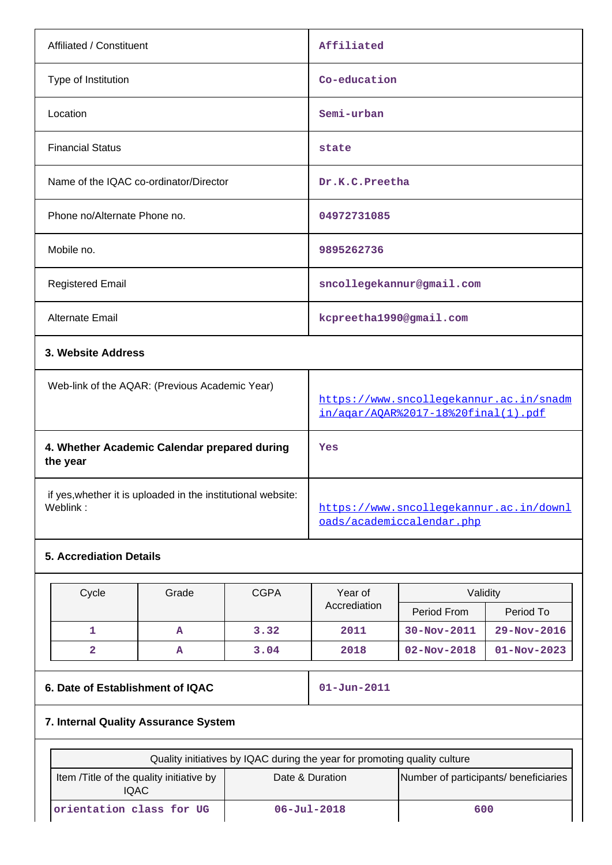| Affiliated / Constituent |                                                                          |                                                | Affiliated   |                                                                                |                                         |                   |
|--------------------------|--------------------------------------------------------------------------|------------------------------------------------|--------------|--------------------------------------------------------------------------------|-----------------------------------------|-------------------|
| Type of Institution      |                                                                          |                                                | Co-education |                                                                                |                                         |                   |
|                          | Location                                                                 |                                                |              | Semi-urban                                                                     |                                         |                   |
|                          | <b>Financial Status</b>                                                  |                                                |              | state                                                                          |                                         |                   |
|                          |                                                                          | Name of the IQAC co-ordinator/Director         |              | Dr.K.C. Preetha                                                                |                                         |                   |
|                          | Phone no/Alternate Phone no.                                             |                                                |              | 04972731085                                                                    |                                         |                   |
|                          | Mobile no.                                                               |                                                |              | 9895262736                                                                     |                                         |                   |
|                          | <b>Registered Email</b>                                                  |                                                |              |                                                                                | sncollegekannur@gmail.com               |                   |
|                          | <b>Alternate Email</b>                                                   |                                                |              | kcpreetha1990@gmail.com                                                        |                                         |                   |
|                          | 3. Website Address                                                       |                                                |              |                                                                                |                                         |                   |
|                          |                                                                          | Web-link of the AQAR: (Previous Academic Year) |              | https://www.sncollegekannur.ac.in/snadm<br>in/agar/AOAR%2017-18%20final(1).pdf |                                         |                   |
|                          | 4. Whether Academic Calendar prepared during<br>the year                 |                                                |              | Yes                                                                            |                                         |                   |
|                          | if yes, whether it is uploaded in the institutional website:<br>Weblink: |                                                |              | oads/academiccalendar.php                                                      | https://www.sncollegekannur.ac.in/downl |                   |
|                          | <b>5. Accrediation Details</b>                                           |                                                |              |                                                                                |                                         |                   |
|                          | Grade<br>Cycle<br><b>CGPA</b>                                            |                                                |              | Year of                                                                        | Validity                                |                   |
|                          |                                                                          |                                                |              | Accrediation                                                                   | Period From                             | Period To         |
|                          | 1                                                                        | A                                              | 3.32         | 2011                                                                           | $30 - Nov - 2011$                       | 29-Nov-2016       |
|                          | $\overline{\mathbf{2}}$                                                  | ${\bf A}$                                      | 3.04         | 2018                                                                           | $02 - Nov - 2018$                       | $01 - Nov - 2023$ |

## **6. Date of Establishment of IQAC 101-Jun-2011**

## **7. Internal Quality Assurance System**

| Quality initiatives by IQAC during the year for promoting quality culture                                      |  |  |  |  |
|----------------------------------------------------------------------------------------------------------------|--|--|--|--|
| Number of participants/ beneficiaries<br>Item / Title of the quality initiative by<br>Date & Duration<br>IQAC. |  |  |  |  |
| orientation class for UG<br>$06 - \text{Jul} - 2018$<br>600                                                    |  |  |  |  |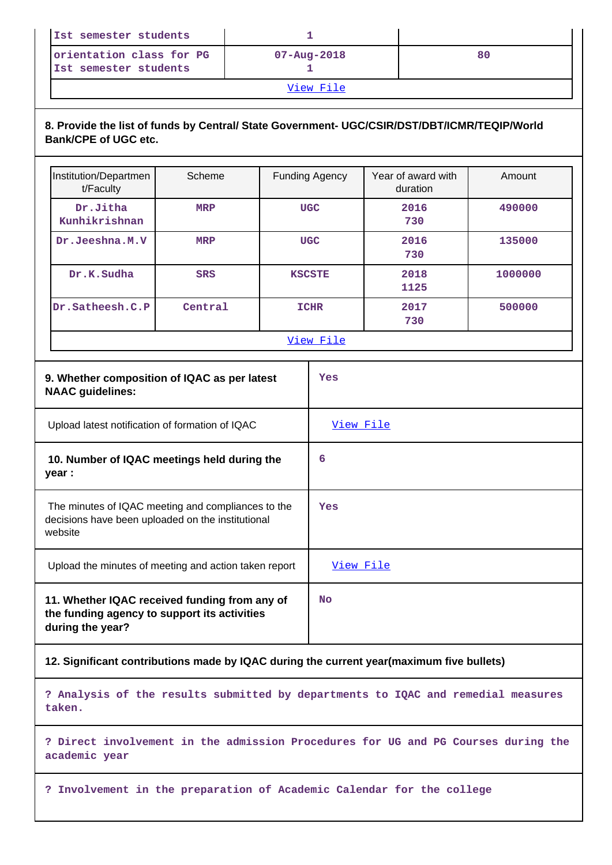| Ist semester students                             |                   |    |  |  |
|---------------------------------------------------|-------------------|----|--|--|
| orientation class for PG<br>Ist semester students | $07 - Aug - 2018$ | 80 |  |  |
| View File                                         |                   |    |  |  |

## **8. Provide the list of funds by Central/ State Government- UGC/CSIR/DST/DBT/ICMR/TEQIP/World Bank/CPE of UGC etc.**

| Institution/Departmen<br>t/Faculty                                                                                 | Scheme     |            | <b>Funding Agency</b> | Year of award with<br>duration | Amount  |
|--------------------------------------------------------------------------------------------------------------------|------------|------------|-----------------------|--------------------------------|---------|
| Dr.Jitha<br>Kunhikrishnan                                                                                          | <b>MRP</b> | <b>UGC</b> |                       | 2016<br>730                    | 490000  |
| Dr.Jeeshna.M.V                                                                                                     | <b>MRP</b> |            | <b>UGC</b>            | 2016<br>730                    | 135000  |
| Dr.K.Sudha                                                                                                         | <b>SRS</b> |            | <b>KSCSTE</b>         | 2018<br>1125                   | 1000000 |
| Dr.Satheesh.C.P                                                                                                    | Central    |            | <b>ICHR</b>           | 2017<br>730                    | 500000  |
|                                                                                                                    |            |            | View File             |                                |         |
| 9. Whether composition of IQAC as per latest<br><b>NAAC</b> guidelines:                                            |            |            | Yes                   |                                |         |
| Upload latest notification of formation of IQAC                                                                    |            | View File  |                       |                                |         |
| 10. Number of IQAC meetings held during the<br>year :                                                              |            | 6          |                       |                                |         |
| The minutes of IQAC meeting and compliances to the<br>decisions have been uploaded on the institutional<br>website |            | Yes        |                       |                                |         |
| Upload the minutes of meeting and action taken report                                                              |            |            | View File             |                                |         |
| 11. Whether IQAC received funding from any of<br>the funding agency to support its activities<br>during the year?  |            |            | No                    |                                |         |

**12. Significant contributions made by IQAC during the current year(maximum five bullets)**

**? Analysis of the results submitted by departments to IQAC and remedial measures taken.**

**? Direct involvement in the admission Procedures for UG and PG Courses during the academic year**

**? Involvement in the preparation of Academic Calendar for the college**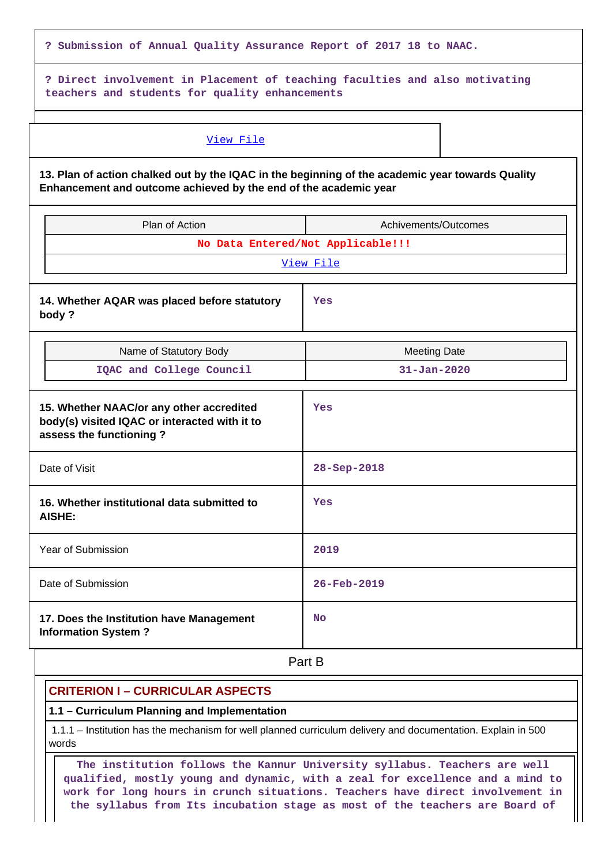| ? Submission of Annual Quality Assurance Report of 2017 18 to NAAC.                                                                                                  |                                   |  |  |  |  |
|----------------------------------------------------------------------------------------------------------------------------------------------------------------------|-----------------------------------|--|--|--|--|
| ? Direct involvement in Placement of teaching faculties and also motivating<br>teachers and students for quality enhancements                                        |                                   |  |  |  |  |
| View File                                                                                                                                                            |                                   |  |  |  |  |
| 13. Plan of action chalked out by the IQAC in the beginning of the academic year towards Quality<br>Enhancement and outcome achieved by the end of the academic year |                                   |  |  |  |  |
| Plan of Action                                                                                                                                                       | Achivements/Outcomes              |  |  |  |  |
|                                                                                                                                                                      | No Data Entered/Not Applicable!!! |  |  |  |  |
|                                                                                                                                                                      | View File                         |  |  |  |  |
| 14. Whether AQAR was placed before statutory<br>body?                                                                                                                | Yes                               |  |  |  |  |
| Name of Statutory Body                                                                                                                                               | <b>Meeting Date</b>               |  |  |  |  |
| IQAC and College Council                                                                                                                                             | $31 - Jan - 2020$                 |  |  |  |  |
| 15. Whether NAAC/or any other accredited<br>body(s) visited IQAC or interacted with it to<br>assess the functioning?                                                 | Yes                               |  |  |  |  |
| Date of Visit                                                                                                                                                        | 28-Sep-2018                       |  |  |  |  |
| 16. Whether institutional data submitted to<br>AISHE:                                                                                                                | Yes                               |  |  |  |  |
| Year of Submission                                                                                                                                                   | 2019                              |  |  |  |  |
| Date of Submission                                                                                                                                                   | $26 - Feb - 2019$                 |  |  |  |  |
| 17. Does the Institution have Management<br><b>Information System?</b>                                                                                               | <b>No</b>                         |  |  |  |  |
|                                                                                                                                                                      | Part B                            |  |  |  |  |

## **CRITERION I – CURRICULAR ASPECTS**

**1.1 – Curriculum Planning and Implementation**

 1.1.1 – Institution has the mechanism for well planned curriculum delivery and documentation. Explain in 500 words

 **The institution follows the Kannur University syllabus. Teachers are well qualified, mostly young and dynamic, with a zeal for excellence and a mind to work for long hours in crunch situations. Teachers have direct involvement in the syllabus from Its incubation stage as most of the teachers are Board of**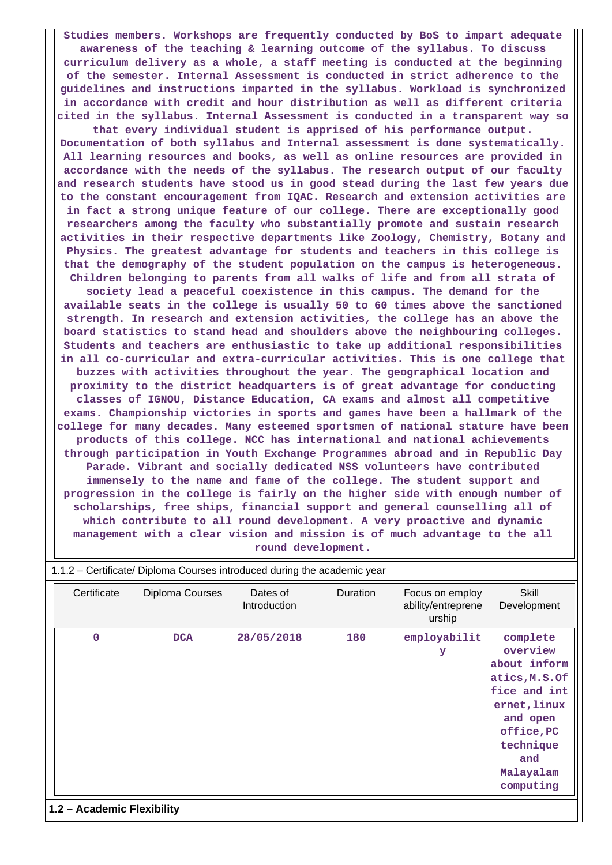**Studies members. Workshops are frequently conducted by BoS to impart adequate awareness of the teaching & learning outcome of the syllabus. To discuss curriculum delivery as a whole, a staff meeting is conducted at the beginning of the semester. Internal Assessment is conducted in strict adherence to the guidelines and instructions imparted in the syllabus. Workload is synchronized in accordance with credit and hour distribution as well as different criteria cited in the syllabus. Internal Assessment is conducted in a transparent way so that every individual student is apprised of his performance output. Documentation of both syllabus and Internal assessment is done systematically. All learning resources and books, as well as online resources are provided in accordance with the needs of the syllabus. The research output of our faculty and research students have stood us in good stead during the last few years due to the constant encouragement from IQAC. Research and extension activities are in fact a strong unique feature of our college. There are exceptionally good researchers among the faculty who substantially promote and sustain research activities in their respective departments like Zoology, Chemistry, Botany and Physics. The greatest advantage for students and teachers in this college is that the demography of the student population on the campus is heterogeneous. Children belonging to parents from all walks of life and from all strata of society lead a peaceful coexistence in this campus. The demand for the available seats in the college is usually 50 to 60 times above the sanctioned strength. In research and extension activities, the college has an above the board statistics to stand head and shoulders above the neighbouring colleges. Students and teachers are enthusiastic to take up additional responsibilities in all co-curricular and extra-curricular activities. This is one college that buzzes with activities throughout the year. The geographical location and proximity to the district headquarters is of great advantage for conducting classes of IGNOU, Distance Education, CA exams and almost all competitive exams. Championship victories in sports and games have been a hallmark of the college for many decades. Many esteemed sportsmen of national stature have been products of this college. NCC has international and national achievements through participation in Youth Exchange Programmes abroad and in Republic Day Parade. Vibrant and socially dedicated NSS volunteers have contributed immensely to the name and fame of the college. The student support and progression in the college is fairly on the higher side with enough number of scholarships, free ships, financial support and general counselling all of which contribute to all round development. A very proactive and dynamic management with a clear vision and mission is of much advantage to the all round development.**

| Certificate                | Diploma Courses | Dates of<br>Introduction | Duration | Focus on employ<br>ability/entreprene<br>urship | Skill<br>Development                                                                                                                                          |
|----------------------------|-----------------|--------------------------|----------|-------------------------------------------------|---------------------------------------------------------------------------------------------------------------------------------------------------------------|
| $\mathbf 0$                | <b>DCA</b>      | 28/05/2018               | 180      | employabilit<br>У                               | complete<br>overview<br>about inform<br>atics, M.S.Of<br>fice and int<br>ernet, linux<br>and open<br>office, PC<br>technique<br>and<br>Malayalam<br>computing |
| 1.2 - Academic Flexibility |                 |                          |          |                                                 |                                                                                                                                                               |

## 1.1.2 – Certificate/ Diploma Courses introduced during the academic year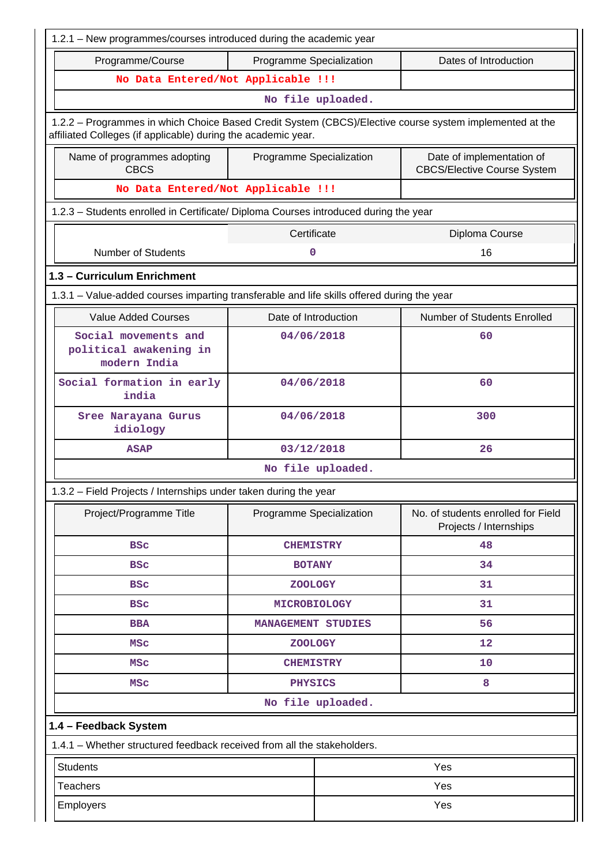| 1.2.1 - New programmes/courses introduced during the academic year                                                                                                       |                           |                     |                                                              |  |  |
|--------------------------------------------------------------------------------------------------------------------------------------------------------------------------|---------------------------|---------------------|--------------------------------------------------------------|--|--|
| Programme/Course                                                                                                                                                         | Programme Specialization  |                     | Dates of Introduction                                        |  |  |
| No Data Entered/Not Applicable !!!                                                                                                                                       |                           |                     |                                                              |  |  |
|                                                                                                                                                                          |                           | No file uploaded.   |                                                              |  |  |
| 1.2.2 - Programmes in which Choice Based Credit System (CBCS)/Elective course system implemented at the<br>affiliated Colleges (if applicable) during the academic year. |                           |                     |                                                              |  |  |
| Name of programmes adopting<br>Programme Specialization<br>Date of implementation of<br><b>CBCS</b><br><b>CBCS/Elective Course System</b>                                |                           |                     |                                                              |  |  |
| No Data Entered/Not Applicable !!!                                                                                                                                       |                           |                     |                                                              |  |  |
| 1.2.3 - Students enrolled in Certificate/ Diploma Courses introduced during the year                                                                                     |                           |                     |                                                              |  |  |
|                                                                                                                                                                          | Certificate               |                     | Diploma Course                                               |  |  |
| <b>Number of Students</b>                                                                                                                                                | 0                         |                     | 16                                                           |  |  |
| 1.3 - Curriculum Enrichment                                                                                                                                              |                           |                     |                                                              |  |  |
| 1.3.1 - Value-added courses imparting transferable and life skills offered during the year                                                                               |                           |                     |                                                              |  |  |
| <b>Value Added Courses</b>                                                                                                                                               | Date of Introduction      |                     | Number of Students Enrolled                                  |  |  |
| Social movements and<br>political awakening in<br>modern India                                                                                                           | 04/06/2018                |                     | 60                                                           |  |  |
| Social formation in early<br>india                                                                                                                                       | 04/06/2018                |                     | 60                                                           |  |  |
| Sree Narayana Gurus<br>idiology                                                                                                                                          | 04/06/2018<br>300         |                     |                                                              |  |  |
| <b>ASAP</b>                                                                                                                                                              | 03/12/2018                |                     | 26                                                           |  |  |
|                                                                                                                                                                          |                           | No file uploaded.   |                                                              |  |  |
| 1.3.2 - Field Projects / Internships under taken during the year                                                                                                         |                           |                     |                                                              |  |  |
| Project/Programme Title                                                                                                                                                  | Programme Specialization  |                     | No. of students enrolled for Field<br>Projects / Internships |  |  |
| <b>BSC</b>                                                                                                                                                               | <b>CHEMISTRY</b>          |                     | 48                                                           |  |  |
| <b>BSC</b>                                                                                                                                                               | <b>BOTANY</b>             |                     | 34                                                           |  |  |
| <b>BSC</b>                                                                                                                                                               | <b>ZOOLOGY</b>            |                     | 31                                                           |  |  |
| <b>BSC</b>                                                                                                                                                               | <b>MICROBIOLOGY</b>       |                     | 31                                                           |  |  |
| <b>BBA</b>                                                                                                                                                               | <b>MANAGEMENT STUDIES</b> |                     | 56                                                           |  |  |
| <b>MSC</b>                                                                                                                                                               | <b>ZOOLOGY</b>            |                     | 12                                                           |  |  |
| <b>MSC</b>                                                                                                                                                               | <b>CHEMISTRY</b>          |                     | 10                                                           |  |  |
| <b>MSC</b>                                                                                                                                                               |                           | 8<br><b>PHYSICS</b> |                                                              |  |  |
|                                                                                                                                                                          |                           | No file uploaded.   |                                                              |  |  |
| 1.4 - Feedback System                                                                                                                                                    |                           |                     |                                                              |  |  |
| 1.4.1 - Whether structured feedback received from all the stakeholders.                                                                                                  |                           |                     |                                                              |  |  |
| <b>Students</b>                                                                                                                                                          |                           |                     | Yes                                                          |  |  |
| <b>Teachers</b>                                                                                                                                                          |                           |                     | Yes                                                          |  |  |
| Employers                                                                                                                                                                | Yes                       |                     |                                                              |  |  |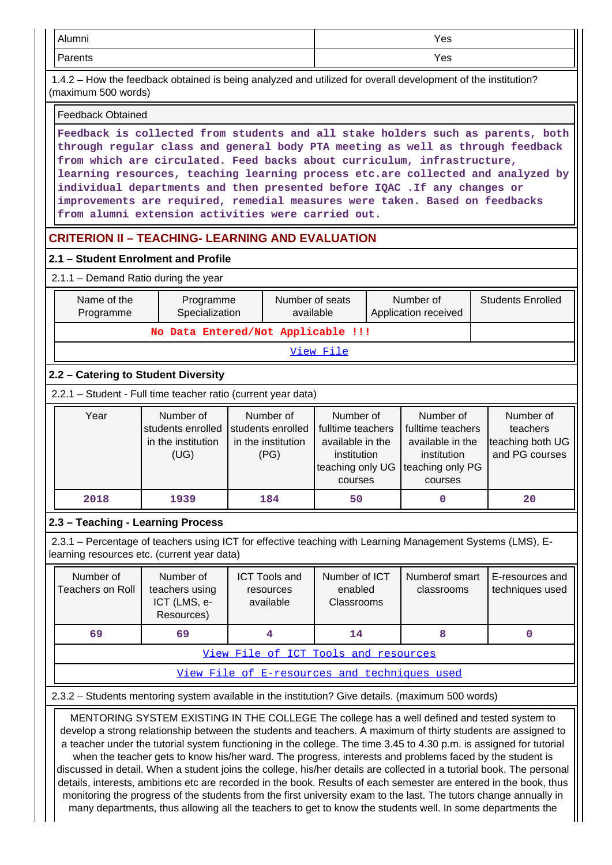| Alumni                                                                                                                                                                                                                                                                                                                                                                                                                                                                                                                                                                                                                                                                                                                                                                                                                                                                                                                                                                                                                                  |                                                              |                                                              |                                                                                                  |  | Yes                                                                                              |                                                             |  |
|-----------------------------------------------------------------------------------------------------------------------------------------------------------------------------------------------------------------------------------------------------------------------------------------------------------------------------------------------------------------------------------------------------------------------------------------------------------------------------------------------------------------------------------------------------------------------------------------------------------------------------------------------------------------------------------------------------------------------------------------------------------------------------------------------------------------------------------------------------------------------------------------------------------------------------------------------------------------------------------------------------------------------------------------|--------------------------------------------------------------|--------------------------------------------------------------|--------------------------------------------------------------------------------------------------|--|--------------------------------------------------------------------------------------------------|-------------------------------------------------------------|--|
| Parents<br>Yes                                                                                                                                                                                                                                                                                                                                                                                                                                                                                                                                                                                                                                                                                                                                                                                                                                                                                                                                                                                                                          |                                                              |                                                              |                                                                                                  |  |                                                                                                  |                                                             |  |
| 1.4.2 – How the feedback obtained is being analyzed and utilized for overall development of the institution?<br>(maximum 500 words)                                                                                                                                                                                                                                                                                                                                                                                                                                                                                                                                                                                                                                                                                                                                                                                                                                                                                                     |                                                              |                                                              |                                                                                                  |  |                                                                                                  |                                                             |  |
| <b>Feedback Obtained</b>                                                                                                                                                                                                                                                                                                                                                                                                                                                                                                                                                                                                                                                                                                                                                                                                                                                                                                                                                                                                                |                                                              |                                                              |                                                                                                  |  |                                                                                                  |                                                             |  |
| Feedback is collected from students and all stake holders such as parents, both<br>through regular class and general body PTA meeting as well as through feedback<br>from which are circulated. Feed backs about curriculum, infrastructure,<br>learning resources, teaching learning process etc.are collected and analyzed by<br>individual departments and then presented before IQAC . If any changes or<br>improvements are required, remedial measures were taken. Based on feedbacks<br>from alumni extension activities were carried out.                                                                                                                                                                                                                                                                                                                                                                                                                                                                                       |                                                              |                                                              |                                                                                                  |  |                                                                                                  |                                                             |  |
| <b>CRITERION II - TEACHING- LEARNING AND EVALUATION</b>                                                                                                                                                                                                                                                                                                                                                                                                                                                                                                                                                                                                                                                                                                                                                                                                                                                                                                                                                                                 |                                                              |                                                              |                                                                                                  |  |                                                                                                  |                                                             |  |
| 2.1 - Student Enrolment and Profile                                                                                                                                                                                                                                                                                                                                                                                                                                                                                                                                                                                                                                                                                                                                                                                                                                                                                                                                                                                                     |                                                              |                                                              |                                                                                                  |  |                                                                                                  |                                                             |  |
| 2.1.1 - Demand Ratio during the year                                                                                                                                                                                                                                                                                                                                                                                                                                                                                                                                                                                                                                                                                                                                                                                                                                                                                                                                                                                                    |                                                              |                                                              |                                                                                                  |  |                                                                                                  |                                                             |  |
| Name of the<br>Programme                                                                                                                                                                                                                                                                                                                                                                                                                                                                                                                                                                                                                                                                                                                                                                                                                                                                                                                                                                                                                | Programme<br>Specialization                                  |                                                              | Number of seats<br>available                                                                     |  | Number of<br>Application received                                                                | <b>Students Enrolled</b>                                    |  |
|                                                                                                                                                                                                                                                                                                                                                                                                                                                                                                                                                                                                                                                                                                                                                                                                                                                                                                                                                                                                                                         |                                                              | No Data Entered/Not Applicable !!!                           |                                                                                                  |  |                                                                                                  |                                                             |  |
|                                                                                                                                                                                                                                                                                                                                                                                                                                                                                                                                                                                                                                                                                                                                                                                                                                                                                                                                                                                                                                         |                                                              |                                                              | View File                                                                                        |  |                                                                                                  |                                                             |  |
| 2.2 - Catering to Student Diversity                                                                                                                                                                                                                                                                                                                                                                                                                                                                                                                                                                                                                                                                                                                                                                                                                                                                                                                                                                                                     |                                                              |                                                              |                                                                                                  |  |                                                                                                  |                                                             |  |
| 2.2.1 - Student - Full time teacher ratio (current year data)                                                                                                                                                                                                                                                                                                                                                                                                                                                                                                                                                                                                                                                                                                                                                                                                                                                                                                                                                                           |                                                              |                                                              |                                                                                                  |  |                                                                                                  |                                                             |  |
| Year                                                                                                                                                                                                                                                                                                                                                                                                                                                                                                                                                                                                                                                                                                                                                                                                                                                                                                                                                                                                                                    | Number of<br>students enrolled<br>in the institution<br>(UG) | Number of<br>students enrolled<br>in the institution<br>(PG) | Number of<br>fulltime teachers<br>available in the<br>institution<br>teaching only UG<br>courses |  | Number of<br>fulltime teachers<br>available in the<br>institution<br>teaching only PG<br>courses | Number of<br>teachers<br>teaching both UG<br>and PG courses |  |
| 2018                                                                                                                                                                                                                                                                                                                                                                                                                                                                                                                                                                                                                                                                                                                                                                                                                                                                                                                                                                                                                                    | 1939                                                         | 184                                                          | 50                                                                                               |  | 0                                                                                                | 20                                                          |  |
| 2.3 - Teaching - Learning Process                                                                                                                                                                                                                                                                                                                                                                                                                                                                                                                                                                                                                                                                                                                                                                                                                                                                                                                                                                                                       |                                                              |                                                              |                                                                                                  |  |                                                                                                  |                                                             |  |
| 2.3.1 – Percentage of teachers using ICT for effective teaching with Learning Management Systems (LMS), E-<br>learning resources etc. (current year data)                                                                                                                                                                                                                                                                                                                                                                                                                                                                                                                                                                                                                                                                                                                                                                                                                                                                               |                                                              |                                                              |                                                                                                  |  |                                                                                                  |                                                             |  |
| Number of<br><b>Teachers on Roll</b>                                                                                                                                                                                                                                                                                                                                                                                                                                                                                                                                                                                                                                                                                                                                                                                                                                                                                                                                                                                                    | Number of<br>teachers using<br>ICT (LMS, e-<br>Resources)    | <b>ICT Tools and</b><br>resources<br>available               | Number of ICT<br>enabled<br>Classrooms                                                           |  | Numberof smart<br>classrooms                                                                     | E-resources and<br>techniques used                          |  |
| 69                                                                                                                                                                                                                                                                                                                                                                                                                                                                                                                                                                                                                                                                                                                                                                                                                                                                                                                                                                                                                                      | 69                                                           | 4                                                            | 14                                                                                               |  | 8                                                                                                | $\mathbf 0$                                                 |  |
|                                                                                                                                                                                                                                                                                                                                                                                                                                                                                                                                                                                                                                                                                                                                                                                                                                                                                                                                                                                                                                         |                                                              | View File of ICT Tools and resources                         |                                                                                                  |  |                                                                                                  |                                                             |  |
|                                                                                                                                                                                                                                                                                                                                                                                                                                                                                                                                                                                                                                                                                                                                                                                                                                                                                                                                                                                                                                         |                                                              | View File of E-resources and techniques used                 |                                                                                                  |  |                                                                                                  |                                                             |  |
|                                                                                                                                                                                                                                                                                                                                                                                                                                                                                                                                                                                                                                                                                                                                                                                                                                                                                                                                                                                                                                         |                                                              |                                                              |                                                                                                  |  |                                                                                                  |                                                             |  |
| 2.3.2 - Students mentoring system available in the institution? Give details. (maximum 500 words)<br>MENTORING SYSTEM EXISTING IN THE COLLEGE The college has a well defined and tested system to<br>develop a strong relationship between the students and teachers. A maximum of thirty students are assigned to<br>a teacher under the tutorial system functioning in the college. The time 3.45 to 4.30 p.m. is assigned for tutorial<br>when the teacher gets to know his/her ward. The progress, interests and problems faced by the student is<br>discussed in detail. When a student joins the college, his/her details are collected in a tutorial book. The personal<br>details, interests, ambitions etc are recorded in the book. Results of each semester are entered in the book, thus<br>monitoring the progress of the students from the first university exam to the last. The tutors change annually in<br>many departments, thus allowing all the teachers to get to know the students well. In some departments the |                                                              |                                                              |                                                                                                  |  |                                                                                                  |                                                             |  |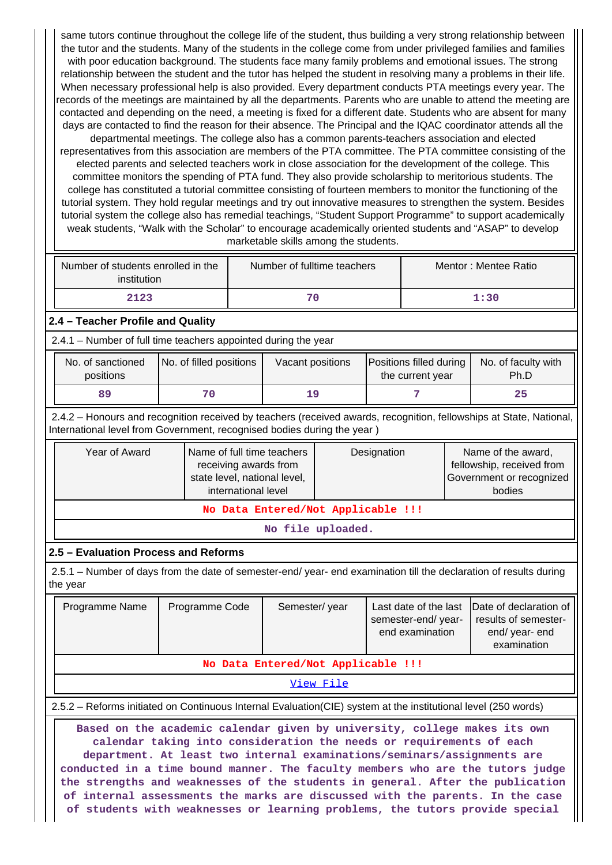same tutors continue throughout the college life of the student, thus building a very strong relationship between the tutor and the students. Many of the students in the college come from under privileged families and families with poor education background. The students face many family problems and emotional issues. The strong relationship between the student and the tutor has helped the student in resolving many a problems in their life. When necessary professional help is also provided. Every department conducts PTA meetings every year. The records of the meetings are maintained by all the departments. Parents who are unable to attend the meeting are contacted and depending on the need, a meeting is fixed for a different date. Students who are absent for many days are contacted to find the reason for their absence. The Principal and the IQAC coordinator attends all the

departmental meetings. The college also has a common parents-teachers association and elected representatives from this association are members of the PTA committee. The PTA committee consisting of the elected parents and selected teachers work in close association for the development of the college. This committee monitors the spending of PTA fund. They also provide scholarship to meritorious students. The college has constituted a tutorial committee consisting of fourteen members to monitor the functioning of the tutorial system. They hold regular meetings and try out innovative measures to strengthen the system. Besides tutorial system the college also has remedial teachings, "Student Support Programme" to support academically weak students, "Walk with the Scholar" to encourage academically oriented students and "ASAP" to develop marketable skills among the students.

| Number of students enrolled in the<br>institution | Number of fulltime teachers | Mentor: Mentee Ratio |
|---------------------------------------------------|-----------------------------|----------------------|
| 2123                                              | 70                          | 1:30                 |

## **2.4 – Teacher Profile and Quality**

2.4.1 – Number of full time teachers appointed during the year

| No. of sanctioned<br>positions | No. of filled positions | Vacant positions | Positions filled during<br>the current year | No. of faculty with<br>Ph.D |
|--------------------------------|-------------------------|------------------|---------------------------------------------|-----------------------------|
| 89                             |                         | 1 Q              |                                             | 25                          |

 2.4.2 – Honours and recognition received by teachers (received awards, recognition, fellowships at State, National, International level from Government, recognised bodies during the year )

| Year of Award                      | Name of full time teachers<br>receiving awards from<br>state level, national level,<br>international level | Designation | Name of the award,<br>fellowship, received from<br>Government or recognized<br>bodies |  |  |
|------------------------------------|------------------------------------------------------------------------------------------------------------|-------------|---------------------------------------------------------------------------------------|--|--|
| No Data Entered/Not Applicable !!! |                                                                                                            |             |                                                                                       |  |  |

**No file uploaded.**

#### **2.5 – Evaluation Process and Reforms**

 2.5.1 – Number of days from the date of semester-end/ year- end examination till the declaration of results during the year

|                                    | Programme Name | Programme Code | Semester/year | semester-end/year-<br>end examination | Last date of the last Date of declaration of<br>results of semester-<br>end/year-end<br>examination |  |  |  |  |
|------------------------------------|----------------|----------------|---------------|---------------------------------------|-----------------------------------------------------------------------------------------------------|--|--|--|--|
| No Data Entered/Not Applicable !!! |                |                |               |                                       |                                                                                                     |  |  |  |  |
|                                    | View File      |                |               |                                       |                                                                                                     |  |  |  |  |

2.5.2 – Reforms initiated on Continuous Internal Evaluation(CIE) system at the institutional level (250 words)

 **Based on the academic calendar given by university, college makes its own calendar taking into consideration the needs or requirements of each department. At least two internal examinations/seminars/assignments are conducted in a time bound manner. The faculty members who are the tutors judge the strengths and weaknesses of the students in general. After the publication of internal assessments the marks are discussed with the parents. In the case of students with weaknesses or learning problems, the tutors provide special**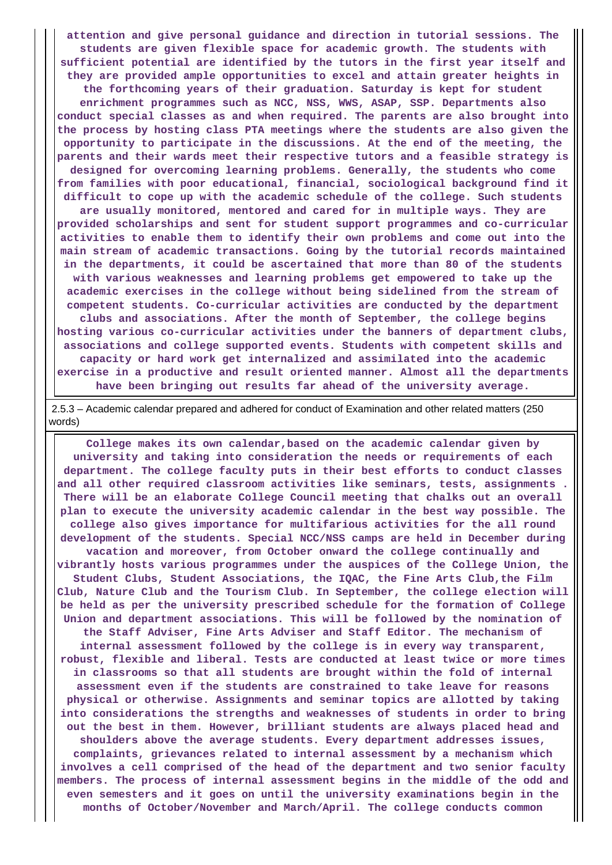**attention and give personal guidance and direction in tutorial sessions. The students are given flexible space for academic growth. The students with sufficient potential are identified by the tutors in the first year itself and they are provided ample opportunities to excel and attain greater heights in the forthcoming years of their graduation. Saturday is kept for student enrichment programmes such as NCC, NSS, WWS, ASAP, SSP. Departments also conduct special classes as and when required. The parents are also brought into the process by hosting class PTA meetings where the students are also given the opportunity to participate in the discussions. At the end of the meeting, the parents and their wards meet their respective tutors and a feasible strategy is designed for overcoming learning problems. Generally, the students who come from families with poor educational, financial, sociological background find it difficult to cope up with the academic schedule of the college. Such students are usually monitored, mentored and cared for in multiple ways. They are provided scholarships and sent for student support programmes and co-curricular activities to enable them to identify their own problems and come out into the main stream of academic transactions. Going by the tutorial records maintained in the departments, it could be ascertained that more than 80 of the students with various weaknesses and learning problems get empowered to take up the academic exercises in the college without being sidelined from the stream of competent students. Co-curricular activities are conducted by the department clubs and associations. After the month of September, the college begins hosting various co-curricular activities under the banners of department clubs, associations and college supported events. Students with competent skills and capacity or hard work get internalized and assimilated into the academic exercise in a productive and result oriented manner. Almost all the departments**

**have been bringing out results far ahead of the university average.**

 2.5.3 – Academic calendar prepared and adhered for conduct of Examination and other related matters (250 words)

 **College makes its own calendar,based on the academic calendar given by university and taking into consideration the needs or requirements of each department. The college faculty puts in their best efforts to conduct classes and all other required classroom activities like seminars, tests, assignments . There will be an elaborate College Council meeting that chalks out an overall plan to execute the university academic calendar in the best way possible. The college also gives importance for multifarious activities for the all round development of the students. Special NCC/NSS camps are held in December during vacation and moreover, from October onward the college continually and vibrantly hosts various programmes under the auspices of the College Union, the Student Clubs, Student Associations, the IQAC, the Fine Arts Club,the Film Club, Nature Club and the Tourism Club. In September, the college election will be held as per the university prescribed schedule for the formation of College Union and department associations. This will be followed by the nomination of the Staff Adviser, Fine Arts Adviser and Staff Editor. The mechanism of internal assessment followed by the college is in every way transparent, robust, flexible and liberal. Tests are conducted at least twice or more times in classrooms so that all students are brought within the fold of internal assessment even if the students are constrained to take leave for reasons physical or otherwise. Assignments and seminar topics are allotted by taking into considerations the strengths and weaknesses of students in order to bring out the best in them. However, brilliant students are always placed head and shoulders above the average students. Every department addresses issues, complaints, grievances related to internal assessment by a mechanism which involves a cell comprised of the head of the department and two senior faculty members. The process of internal assessment begins in the middle of the odd and even semesters and it goes on until the university examinations begin in the months of October/November and March/April. The college conducts common**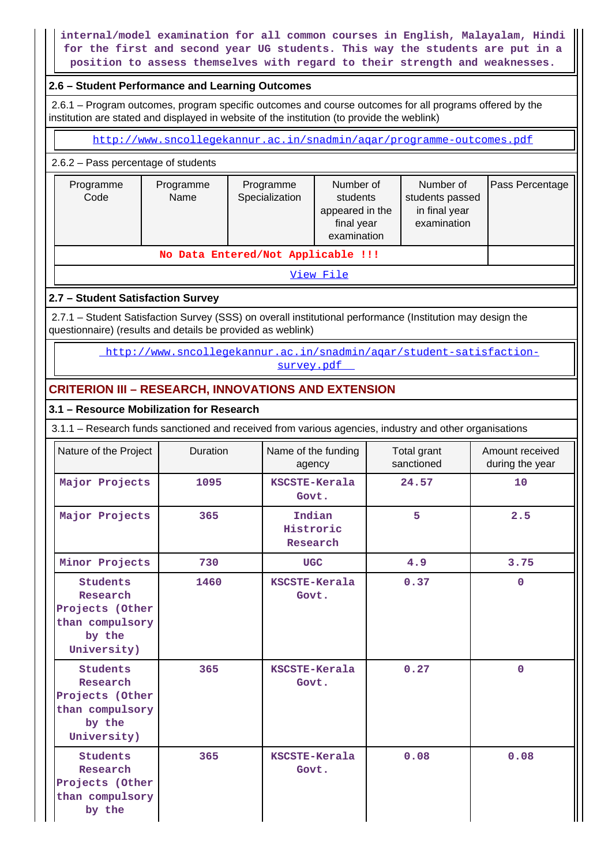## **internal/model examination for all common courses in English, Malayalam, Hindi for the first and second year UG students. This way the students are put in a position to assess themselves with regard to their strength and weaknesses.**

#### **2.6 – Student Performance and Learning Outcomes**

 2.6.1 – Program outcomes, program specific outcomes and course outcomes for all programs offered by the institution are stated and displayed in website of the institution (to provide the weblink)

<http://www.sncollegekannur.ac.in/snadmin/aqar/programme-outcomes.pdf>

2.6.2 – Pass percentage of students

| Programme<br>Code | Programme<br>Name | Programme<br>Specialization | Number of<br>students<br>appeared in the<br>final year<br>examination | Number of<br>students passed<br>in final year<br>examination | Pass Percentage |
|-------------------|-------------------|-----------------------------|-----------------------------------------------------------------------|--------------------------------------------------------------|-----------------|
|                   |                   |                             |                                                                       |                                                              |                 |

#### [View File](https://assessmentonline.naac.gov.in/public/Postacc/Pass_percentage/3073_Pass_percentage_1580213718.xlsx)

### **2.7 – Student Satisfaction Survey**

 2.7.1 – Student Satisfaction Survey (SSS) on overall institutional performance (Institution may design the questionnaire) (results and details be provided as weblink)

> [http://www.sncollegekannur.ac.in/snadmin/aqar/student-satisfaction](http://www.sncollegekannur.ac.in/snadmin/aqar/student-satisfaction-survey.pdf)[survey.pdf](http://www.sncollegekannur.ac.in/snadmin/aqar/student-satisfaction-survey.pdf)

## **CRITERION III – RESEARCH, INNOVATIONS AND EXTENSION**

#### **3.1 – Resource Mobilization for Research**

3.1.1 – Research funds sanctioned and received from various agencies, industry and other organisations

| Nature of the Project                                                                      | Duration | Name of the funding<br>agency   | Total grant<br>sanctioned | Amount received<br>during the year |
|--------------------------------------------------------------------------------------------|----------|---------------------------------|---------------------------|------------------------------------|
| Major Projects                                                                             | 1095     | KSCSTE-Kerala<br>Govt.          | 24.57                     | 10                                 |
| Major Projects                                                                             | 365      | Indian<br>Histroric<br>Research | 5                         | 2.5                                |
| Minor Projects                                                                             | 730      | <b>UGC</b>                      | 4.9                       | 3.75                               |
| <b>Students</b><br>Research<br>Projects (Other<br>than compulsory<br>by the<br>University) | 1460     | KSCSTE-Kerala<br>Govt.          | 0.37                      | $\mathbf 0$                        |
| <b>Students</b><br>Research<br>Projects (Other<br>than compulsory<br>by the<br>University) | 365      | KSCSTE-Kerala<br>Govt.          | 0.27                      | $\mathbf 0$                        |
| <b>Students</b><br>Research<br>Projects (Other<br>than compulsory<br>by the                | 365      | KSCSTE-Kerala<br>Govt.          | 0.08                      | 0.08                               |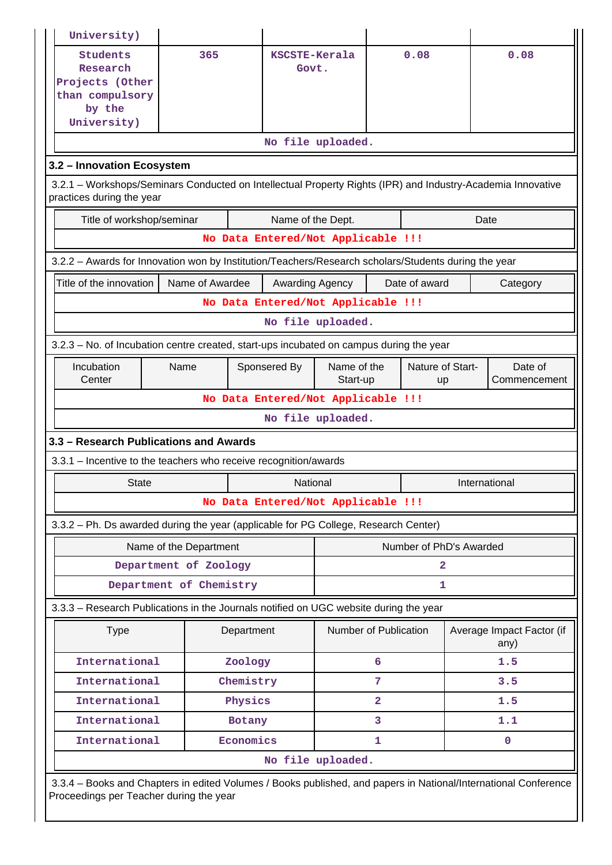| University)                                                                                                                              |                                                                                                                                                            |                        |                       |                |                         |               |                                   |  |  |  |  |  |
|------------------------------------------------------------------------------------------------------------------------------------------|------------------------------------------------------------------------------------------------------------------------------------------------------------|------------------------|-----------------------|----------------|-------------------------|---------------|-----------------------------------|--|--|--|--|--|
| <b>Students</b><br>Research<br>Projects (Other<br>than compulsory<br>by the<br>University)                                               | 365                                                                                                                                                        | KSCSTE-Kerala<br>Govt. |                       |                | 0.08                    |               | 0.08                              |  |  |  |  |  |
|                                                                                                                                          |                                                                                                                                                            |                        | No file uploaded.     |                |                         |               |                                   |  |  |  |  |  |
| 3.2 - Innovation Ecosystem                                                                                                               |                                                                                                                                                            |                        |                       |                |                         |               |                                   |  |  |  |  |  |
| 3.2.1 - Workshops/Seminars Conducted on Intellectual Property Rights (IPR) and Industry-Academia Innovative<br>practices during the year |                                                                                                                                                            |                        |                       |                |                         |               |                                   |  |  |  |  |  |
| Title of workshop/seminar                                                                                                                |                                                                                                                                                            | Name of the Dept.      |                       |                |                         |               | Date                              |  |  |  |  |  |
|                                                                                                                                          | No Data Entered/Not Applicable !!!                                                                                                                         |                        |                       |                |                         |               |                                   |  |  |  |  |  |
| 3.2.2 - Awards for Innovation won by Institution/Teachers/Research scholars/Students during the year                                     |                                                                                                                                                            |                        |                       |                |                         |               |                                   |  |  |  |  |  |
| Title of the innovation                                                                                                                  | Name of Awardee                                                                                                                                            | Awarding Agency        |                       |                | Date of award           |               | Category                          |  |  |  |  |  |
|                                                                                                                                          | No Data Entered/Not Applicable !!!                                                                                                                         |                        |                       |                |                         |               |                                   |  |  |  |  |  |
| No file uploaded.                                                                                                                        |                                                                                                                                                            |                        |                       |                |                         |               |                                   |  |  |  |  |  |
|                                                                                                                                          | 3.2.3 – No. of Incubation centre created, start-ups incubated on campus during the year                                                                    |                        |                       |                |                         |               |                                   |  |  |  |  |  |
| Incubation<br>Center                                                                                                                     | Sponsered By<br>Name                                                                                                                                       |                        |                       |                | Nature of Start-<br>up  |               | Date of<br>Commencement           |  |  |  |  |  |
|                                                                                                                                          | No Data Entered/Not Applicable !!!                                                                                                                         |                        |                       |                |                         |               |                                   |  |  |  |  |  |
|                                                                                                                                          |                                                                                                                                                            |                        | No file uploaded.     |                |                         |               |                                   |  |  |  |  |  |
| 3.3 - Research Publications and Awards                                                                                                   |                                                                                                                                                            |                        |                       |                |                         |               |                                   |  |  |  |  |  |
| 3.3.1 - Incentive to the teachers who receive recognition/awards                                                                         |                                                                                                                                                            |                        |                       |                |                         |               |                                   |  |  |  |  |  |
| <b>State</b>                                                                                                                             |                                                                                                                                                            | National               |                       |                |                         | International |                                   |  |  |  |  |  |
|                                                                                                                                          | No Data Entered/Not Applicable !!!                                                                                                                         |                        |                       |                |                         |               |                                   |  |  |  |  |  |
| 3.3.2 - Ph. Ds awarded during the year (applicable for PG College, Research Center)                                                      |                                                                                                                                                            |                        |                       |                |                         |               |                                   |  |  |  |  |  |
|                                                                                                                                          | Name of the Department                                                                                                                                     |                        |                       |                | Number of PhD's Awarded |               |                                   |  |  |  |  |  |
|                                                                                                                                          | Department of Zoology                                                                                                                                      |                        |                       |                | $\overline{\mathbf{2}}$ |               |                                   |  |  |  |  |  |
|                                                                                                                                          | Department of Chemistry                                                                                                                                    |                        |                       |                | 1                       |               |                                   |  |  |  |  |  |
| 3.3.3 - Research Publications in the Journals notified on UGC website during the year                                                    |                                                                                                                                                            |                        |                       |                |                         |               |                                   |  |  |  |  |  |
| <b>Type</b>                                                                                                                              | Department                                                                                                                                                 |                        | Number of Publication |                |                         |               | Average Impact Factor (if<br>any) |  |  |  |  |  |
| International                                                                                                                            | Zoology                                                                                                                                                    |                        |                       | 6              |                         |               | 1.5                               |  |  |  |  |  |
| International                                                                                                                            | Chemistry                                                                                                                                                  |                        |                       | 7              |                         |               | 3.5                               |  |  |  |  |  |
| International                                                                                                                            | Physics                                                                                                                                                    |                        |                       | $\overline{a}$ |                         |               | 1.5                               |  |  |  |  |  |
| International                                                                                                                            | Botany                                                                                                                                                     |                        |                       | 3              |                         |               | 1.1                               |  |  |  |  |  |
| International                                                                                                                            | Economics                                                                                                                                                  |                        |                       | 1              |                         |               | $\mathbf 0$                       |  |  |  |  |  |
|                                                                                                                                          |                                                                                                                                                            |                        | No file uploaded.     |                |                         |               |                                   |  |  |  |  |  |
|                                                                                                                                          | 3.3.4 - Books and Chapters in edited Volumes / Books published, and papers in National/International Conference<br>Proceedings per Teacher during the year |                        |                       |                |                         |               |                                   |  |  |  |  |  |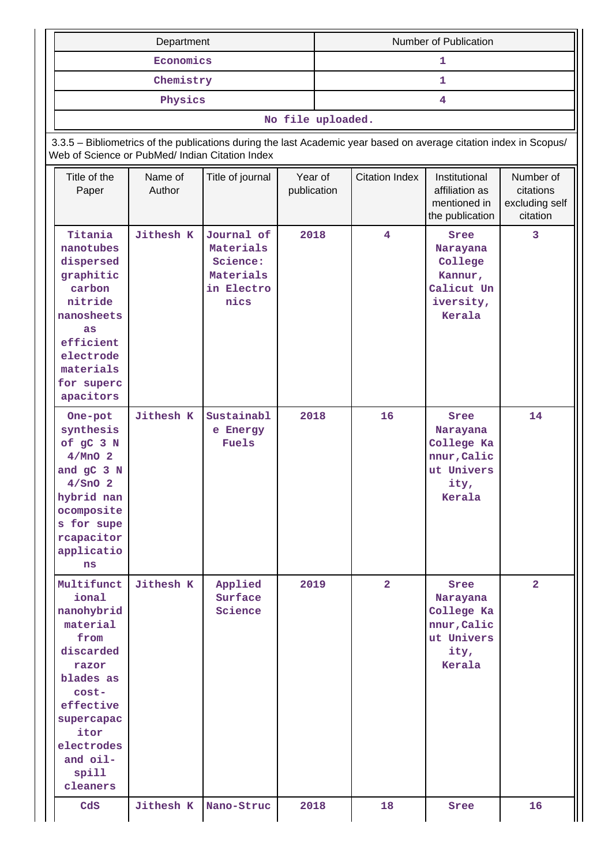|                                                                                                                                                                                     | Department        |                                                                                                                    |      | Number of Publication |                       |                                                                               |                                                      |  |  |  |
|-------------------------------------------------------------------------------------------------------------------------------------------------------------------------------------|-------------------|--------------------------------------------------------------------------------------------------------------------|------|-----------------------|-----------------------|-------------------------------------------------------------------------------|------------------------------------------------------|--|--|--|
|                                                                                                                                                                                     | Economics         |                                                                                                                    |      | 1                     |                       |                                                                               |                                                      |  |  |  |
|                                                                                                                                                                                     | Chemistry         |                                                                                                                    |      |                       |                       | $\mathbf{1}$                                                                  |                                                      |  |  |  |
|                                                                                                                                                                                     | Physics           |                                                                                                                    |      | 4                     |                       |                                                                               |                                                      |  |  |  |
|                                                                                                                                                                                     |                   |                                                                                                                    |      | No file uploaded.     |                       |                                                                               |                                                      |  |  |  |
| Web of Science or PubMed/ Indian Citation Index                                                                                                                                     |                   | 3.3.5 - Bibliometrics of the publications during the last Academic year based on average citation index in Scopus/ |      |                       |                       |                                                                               |                                                      |  |  |  |
| Title of the<br>Paper                                                                                                                                                               | Name of<br>Author | Year of<br>Title of journal<br>publication                                                                         |      |                       | <b>Citation Index</b> | Institutional<br>affiliation as<br>mentioned in<br>the publication            | Number of<br>citations<br>excluding self<br>citation |  |  |  |
| Titania<br>nanotubes<br>dispersed<br>graphitic<br>carbon<br>nitride<br>nanosheets<br>as<br>efficient<br>electrode<br>materials<br>for superc<br>apacitors                           | <b>Jithesh K</b>  | Journal of<br>Materials<br>Science:<br>Materials<br>in Electro<br>nics                                             | 2018 |                       | $\overline{4}$        | Sree<br>Narayana<br>College<br>Kannur,<br>Calicut Un<br>iversity,<br>Kerala   | 3                                                    |  |  |  |
| One-pot<br>synthesis<br>of gC 3 N<br>$4/MnO$ 2<br>and gC 3 N<br>$4/$ SnO 2<br>hybrid nan<br>ocomposite<br>s for supe<br>rcapacitor<br>applicatio<br>ns                              | <b>Jithesh K</b>  | Sustainabl<br>e Energy<br>Fuels                                                                                    | 2018 |                       | 16                    | Sree<br>Narayana<br>College Ka<br>nnur, Calic<br>ut Univers<br>ity,<br>Kerala | 14                                                   |  |  |  |
| Multifunct<br>ional<br>nanohybrid<br>material<br>from<br>discarded<br>razor<br>blades as<br>cost-<br>effective<br>supercapac<br>itor<br>electrodes<br>and oil-<br>spill<br>cleaners | Jithesh K         | Applied<br>Surface<br>Science                                                                                      | 2019 |                       | $\overline{a}$        | Sree<br>Narayana<br>College Ka<br>nnur, Calic<br>ut Univers<br>ity,<br>Kerala | $\overline{2}$                                       |  |  |  |
| cds                                                                                                                                                                                 | <b>Jithesh K</b>  | Nano-Struc                                                                                                         | 2018 |                       | 18                    | Sree                                                                          | 16                                                   |  |  |  |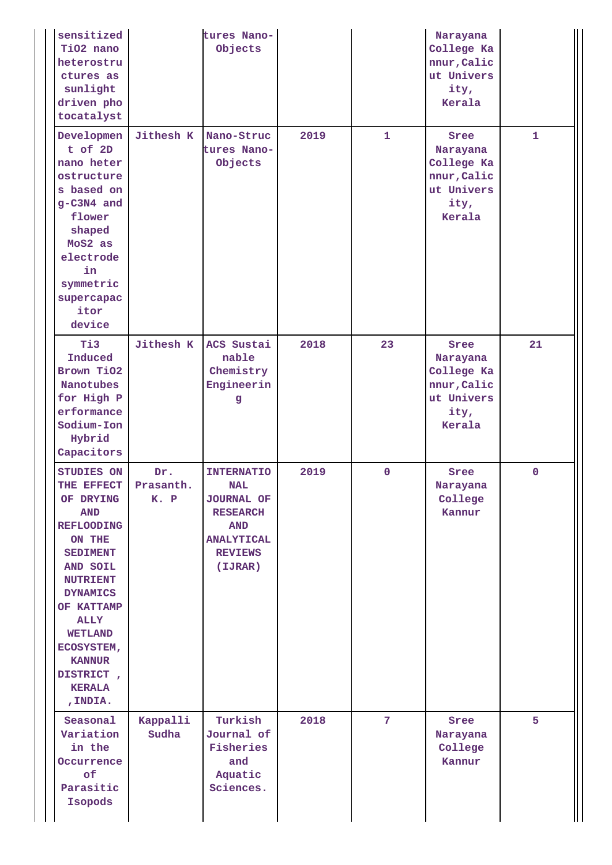| sensitized<br>TiO2 nano<br>heterostru<br>ctures as<br>sunlight<br>driven pho<br>tocatalyst                                                                                                                                                                                             |                          | tures Nano-<br>Objects                                                                                                                  |      |                | Narayana<br>College Ka<br>nnur, Calic<br>ut Univers<br>ity,<br>Kerala         |              |
|----------------------------------------------------------------------------------------------------------------------------------------------------------------------------------------------------------------------------------------------------------------------------------------|--------------------------|-----------------------------------------------------------------------------------------------------------------------------------------|------|----------------|-------------------------------------------------------------------------------|--------------|
| Developmen<br>$t$ of $2D$<br>nano heter<br>ostructure<br>s based on<br>g-C3N4 and<br>flower<br>shaped<br>MoS2 as<br>electrode<br>in<br>symmetric<br>supercapac<br>itor<br>device                                                                                                       | Jithesh K                | Nano-Struc<br>tures Nano-<br>Objects                                                                                                    | 2019 | $\mathbf{1}$   | Sree<br>Narayana<br>College Ka<br>nnur, Calic<br>ut Univers<br>ity,<br>Kerala | $\mathbf{1}$ |
| Ti3<br>Induced<br>Brown TiO2<br><b>Nanotubes</b><br>for High P<br>erformance<br>Sodium-Ion<br>Hybrid<br>Capacitors                                                                                                                                                                     | <b>Jithesh K</b>         | ACS Sustai<br>nable<br>Chemistry<br>Engineerin<br>g                                                                                     | 2018 | 23             | Sree<br>Narayana<br>College Ka<br>nnur, Calic<br>ut Univers<br>ity,<br>Kerala | 21           |
| STUDIES ON<br>THE EFFECT<br>OF DRYING<br><b>AND</b><br><b>REFLOODING</b><br>ON THE<br><b>SEDIMENT</b><br><b>AND SOIL</b><br><b>NUTRIENT</b><br><b>DYNAMICS</b><br>OF KATTAMP<br><b>ALLY</b><br><b>WETLAND</b><br>ECOSYSTEM,<br><b>KANNUR</b><br>DISTRICT,<br><b>KERALA</b><br>, INDIA. | Dr.<br>Prasanth.<br>K. P | <b>INTERNATIO</b><br><b>NAL</b><br><b>JOURNAL OF</b><br><b>RESEARCH</b><br><b>AND</b><br><b>ANALYTICAL</b><br><b>REVIEWS</b><br>(IJRAR) | 2019 | $\mathbf 0$    | Sree<br>Narayana<br>College<br>Kannur                                         | $\mathbf 0$  |
| Seasonal<br>Variation<br>in the<br>Occurrence<br>of<br>Parasitic<br>Isopods                                                                                                                                                                                                            | Kappalli<br>Sudha        | Turkish<br>Journal of<br>Fisheries<br>and<br>Aquatic<br>Sciences.                                                                       | 2018 | $\overline{7}$ | Sree<br>Narayana<br>College<br>Kannur                                         | 5            |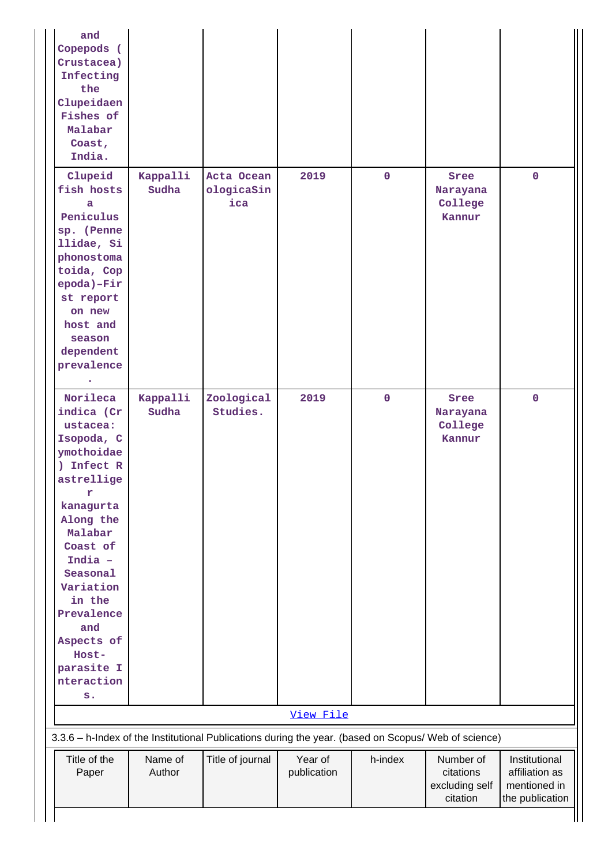| and<br>Copepods (<br>Crustacea)<br>Infecting<br>the<br>Clupeidaen<br>Fishes of<br>Malabar<br>Coast,<br>India.                                                                                                                                                                 |                   |                                                                                                      |                        |             |                                                      |                                                                    |
|-------------------------------------------------------------------------------------------------------------------------------------------------------------------------------------------------------------------------------------------------------------------------------|-------------------|------------------------------------------------------------------------------------------------------|------------------------|-------------|------------------------------------------------------|--------------------------------------------------------------------|
| Clupeid<br>fish hosts<br>a<br>Peniculus<br>sp. (Penne<br>llidae, Si<br>phonostoma<br>toida, Cop<br>epoda)-Fir<br>st report<br>on new<br>host and<br>season<br>dependent<br>prevalence                                                                                         | Kappalli<br>Sudha | Acta Ocean<br>ologicaSin<br>ica                                                                      | 2019                   | $\mathbf 0$ | Sree<br>Narayana<br>College<br>Kannur                | $\mathbf 0$                                                        |
| Norileca<br>indica (Cr)<br>ustacea:<br>Isopoda, C<br>ymothoidae<br>) Infect R<br>astrellige<br>r<br>kanagurta<br>Along the<br>Malabar<br>Coast of<br>India -<br>Seasonal<br>Variation<br>in the<br>Prevalence<br>and<br>Aspects of<br>Host-<br>parasite I<br>nteraction<br>s. | Kappalli<br>Sudha | Zoological<br>Studies.                                                                               | 2019                   | $\mathbf 0$ | Sree<br>Narayana<br>College<br>Kannur                | $\mathbf 0$                                                        |
|                                                                                                                                                                                                                                                                               |                   |                                                                                                      | View File              |             |                                                      |                                                                    |
|                                                                                                                                                                                                                                                                               |                   | 3.3.6 - h-Index of the Institutional Publications during the year. (based on Scopus/ Web of science) |                        |             |                                                      |                                                                    |
| Title of the<br>Paper                                                                                                                                                                                                                                                         | Name of<br>Author | Title of journal                                                                                     | Year of<br>publication | h-index     | Number of<br>citations<br>excluding self<br>citation | Institutional<br>affiliation as<br>mentioned in<br>the publication |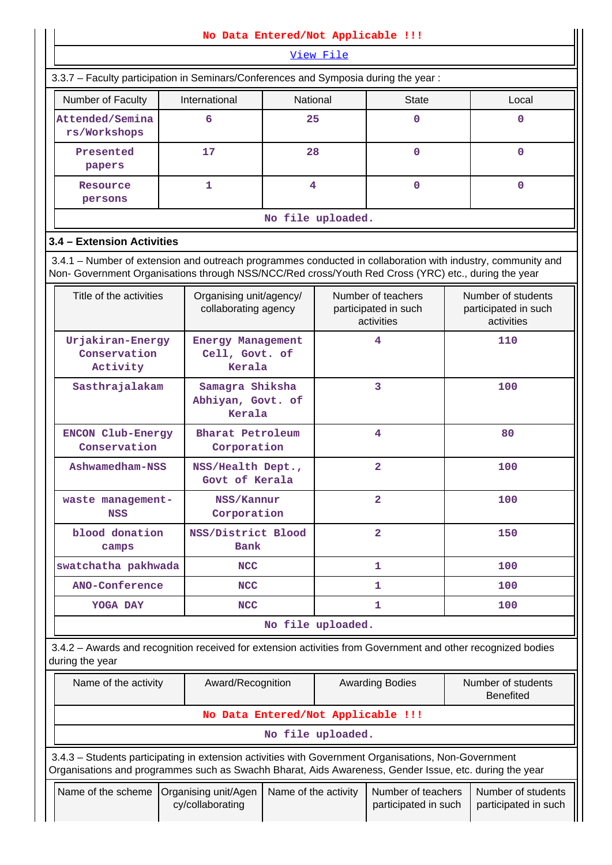|                                                                                                                                                                                                                    | No Data Entered/Not Applicable !!!              |                                                      |                |                                                          |                                        |                                                          |  |
|--------------------------------------------------------------------------------------------------------------------------------------------------------------------------------------------------------------------|-------------------------------------------------|------------------------------------------------------|----------------|----------------------------------------------------------|----------------------------------------|----------------------------------------------------------|--|
|                                                                                                                                                                                                                    |                                                 |                                                      | View File      |                                                          |                                        |                                                          |  |
| 3.3.7 - Faculty participation in Seminars/Conferences and Symposia during the year:                                                                                                                                |                                                 |                                                      |                |                                                          |                                        |                                                          |  |
| Number of Faculty                                                                                                                                                                                                  | International                                   | National                                             |                | <b>State</b>                                             |                                        | Local                                                    |  |
| Attended/Semina<br>rs/Workshops                                                                                                                                                                                    | 6                                               | 25                                                   |                | 0                                                        |                                        | $\mathbf 0$                                              |  |
| Presented<br>papers                                                                                                                                                                                                | 17                                              | 28                                                   |                | $\mathbf 0$                                              |                                        | $\mathbf 0$                                              |  |
| Resource<br>persons                                                                                                                                                                                                | 1                                               | 4                                                    |                | $\mathbf 0$                                              |                                        | $\mathbf 0$                                              |  |
|                                                                                                                                                                                                                    |                                                 | No file uploaded.                                    |                |                                                          |                                        |                                                          |  |
| 3.4 - Extension Activities                                                                                                                                                                                         |                                                 |                                                      |                |                                                          |                                        |                                                          |  |
| 3.4.1 - Number of extension and outreach programmes conducted in collaboration with industry, community and<br>Non- Government Organisations through NSS/NCC/Red cross/Youth Red Cross (YRC) etc., during the year |                                                 |                                                      |                |                                                          |                                        |                                                          |  |
| Title of the activities                                                                                                                                                                                            | Organising unit/agency/<br>collaborating agency |                                                      |                | Number of teachers<br>participated in such<br>activities |                                        | Number of students<br>participated in such<br>activities |  |
| Urjakiran-Energy<br>Conservation<br>Activity                                                                                                                                                                       |                                                 | <b>Energy Management</b><br>Cell, Govt. of<br>Kerala |                | 4                                                        |                                        | 110                                                      |  |
| Sasthrajalakam                                                                                                                                                                                                     | Samagra Shiksha<br>Abhiyan, Govt. of<br>Kerala  |                                                      |                | 3                                                        | 100                                    |                                                          |  |
| <b>ENCON Club-Energy</b><br>Conservation                                                                                                                                                                           | Bharat Petroleum<br>Corporation                 |                                                      |                | 4                                                        |                                        | 80                                                       |  |
| Ashwamedham-NSS                                                                                                                                                                                                    |                                                 | NSS/Health Dept.,<br>Govt of Kerala                  |                | 2                                                        |                                        | 100                                                      |  |
| waste management-<br><b>NSS</b>                                                                                                                                                                                    | NSS/Kannur<br>Corporation                       |                                                      |                | $\overline{a}$                                           | 100                                    |                                                          |  |
| blood donation<br>camps                                                                                                                                                                                            | NSS/District Blood<br><b>Bank</b>               |                                                      | $\overline{a}$ |                                                          |                                        | 150                                                      |  |
| swatchatha pakhwada                                                                                                                                                                                                | <b>NCC</b>                                      |                                                      |                | 1                                                        |                                        | 100                                                      |  |
| ANO-Conference                                                                                                                                                                                                     | <b>NCC</b>                                      |                                                      |                | 1                                                        |                                        | 100                                                      |  |
| YOGA DAY                                                                                                                                                                                                           | <b>NCC</b>                                      |                                                      |                | 1                                                        |                                        | 100                                                      |  |
|                                                                                                                                                                                                                    |                                                 | No file uploaded.                                    |                |                                                          |                                        |                                                          |  |
| 3.4.2 - Awards and recognition received for extension activities from Government and other recognized bodies<br>during the year                                                                                    |                                                 |                                                      |                |                                                          |                                        |                                                          |  |
| Name of the activity                                                                                                                                                                                               | Award/Recognition                               |                                                      |                | <b>Awarding Bodies</b>                                   | Number of students<br><b>Benefited</b> |                                                          |  |
|                                                                                                                                                                                                                    | No Data Entered/Not Applicable !!!              |                                                      |                |                                                          |                                        |                                                          |  |
|                                                                                                                                                                                                                    |                                                 | No file uploaded.                                    |                |                                                          |                                        |                                                          |  |
| 3.4.3 - Students participating in extension activities with Government Organisations, Non-Government<br>Organisations and programmes such as Swachh Bharat, Aids Awareness, Gender Issue, etc. during the year     |                                                 |                                                      |                |                                                          |                                        |                                                          |  |
| Name of the scheme                                                                                                                                                                                                 | Organising unit/Agen<br>cy/collaborating        | Name of the activity                                 |                | Number of teachers<br>participated in such               |                                        | Number of students<br>participated in such               |  |

 $\mathbf l$ 

п

 $\mathbf{I}$ 

Ш.

 $\parallel$ 

 $\prod$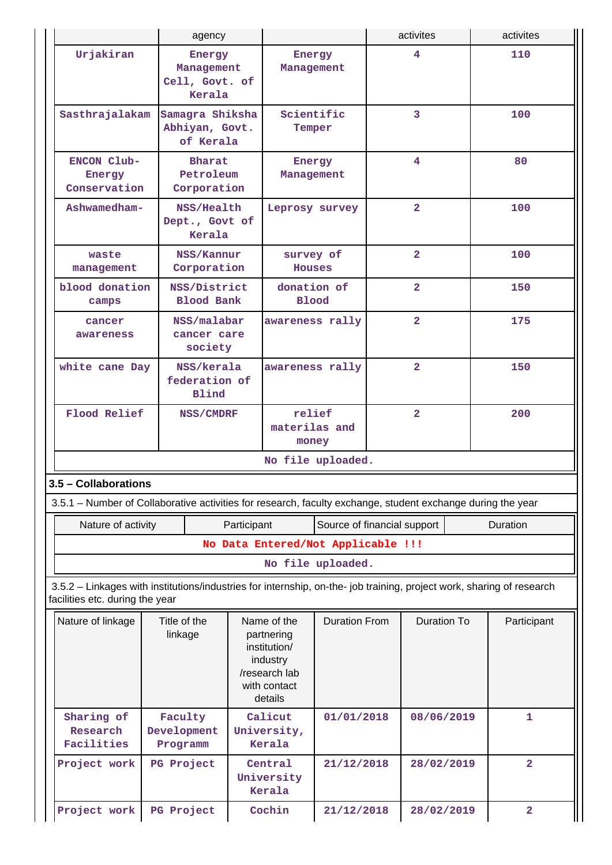|                                                                                                                                                          | agency                                           |             |                                                                                                   |                             |  |                         | activites               |  |
|----------------------------------------------------------------------------------------------------------------------------------------------------------|--------------------------------------------------|-------------|---------------------------------------------------------------------------------------------------|-----------------------------|--|-------------------------|-------------------------|--|
| Urjakiran                                                                                                                                                | Energy<br>Management<br>Cell, Govt. of<br>Kerala |             | Energy<br>Management                                                                              |                             |  | $\overline{\mathbf{4}}$ | 110                     |  |
| Sasthrajalakam                                                                                                                                           | Samagra Shiksha<br>Abhiyan, Govt.<br>of Kerala   |             | Scientific<br>Temper                                                                              |                             |  | 3                       | 100                     |  |
| ENCON Club-<br>Energy<br>Conservation                                                                                                                    | <b>Bharat</b><br>Petroleum<br>Corporation        |             | Energy<br>Management                                                                              |                             |  | 4                       | 80                      |  |
| Ashwamedham-                                                                                                                                             | NSS/Health<br>Dept., Govt of<br>Kerala           |             | Leprosy survey                                                                                    |                             |  | $\overline{2}$          | 100                     |  |
| waste<br>management                                                                                                                                      | NSS/Kannur<br>Corporation                        |             | survey of<br>Houses                                                                               |                             |  | $\overline{2}$          | 100                     |  |
| blood donation<br>camps                                                                                                                                  | NSS/District<br><b>Blood Bank</b>                |             | donation of<br><b>Blood</b>                                                                       |                             |  | $\overline{2}$          | 150                     |  |
| cancer<br>awareness                                                                                                                                      | NSS/malabar<br>cancer care<br>society            |             | awareness rally                                                                                   |                             |  | $\overline{2}$          | 175                     |  |
| white cane Day                                                                                                                                           | NSS/kerala<br>federation of<br>Blind             |             | awareness rally                                                                                   |                             |  | $\overline{2}$          | 150                     |  |
| Flood Relief                                                                                                                                             | NSS/CMDRF                                        |             | relief<br>materilas and<br>money                                                                  |                             |  | $\overline{2}$          | 200                     |  |
|                                                                                                                                                          |                                                  |             |                                                                                                   | No file uploaded.           |  |                         |                         |  |
| 3.5 - Collaborations                                                                                                                                     |                                                  |             |                                                                                                   |                             |  |                         |                         |  |
| 3.5.1 – Number of Collaborative activities for research, faculty exchange, student exchange during the year                                              |                                                  |             |                                                                                                   |                             |  |                         |                         |  |
| Nature of activity                                                                                                                                       |                                                  | Participant |                                                                                                   | Source of financial support |  |                         | Duration                |  |
|                                                                                                                                                          |                                                  |             | No Data Entered/Not Applicable !!!                                                                |                             |  |                         |                         |  |
|                                                                                                                                                          |                                                  |             |                                                                                                   | No file uploaded.           |  |                         |                         |  |
| 3.5.2 - Linkages with institutions/industries for internship, on-the- job training, project work, sharing of research<br>facilities etc. during the year |                                                  |             |                                                                                                   |                             |  |                         |                         |  |
| Nature of linkage                                                                                                                                        | Title of the<br>linkage                          |             | Name of the<br>partnering<br>institution/<br>industry<br>/research lab<br>with contact<br>details | <b>Duration From</b>        |  | <b>Duration To</b>      | Participant             |  |
| Sharing of<br>Research<br>Facilities                                                                                                                     | Faculty<br>Development<br>Programm               |             | Calicut<br>University,<br>Kerala                                                                  | 01/01/2018                  |  | 08/06/2019              | $\mathbf{1}$            |  |
| Project work                                                                                                                                             | PG Project                                       |             | Central<br>University<br>Kerala                                                                   | 21/12/2018                  |  | 28/02/2019              | $\overline{a}$          |  |
| Project work                                                                                                                                             | PG Project                                       |             | Cochin                                                                                            | 21/12/2018                  |  | 28/02/2019              | $\overline{\mathbf{2}}$ |  |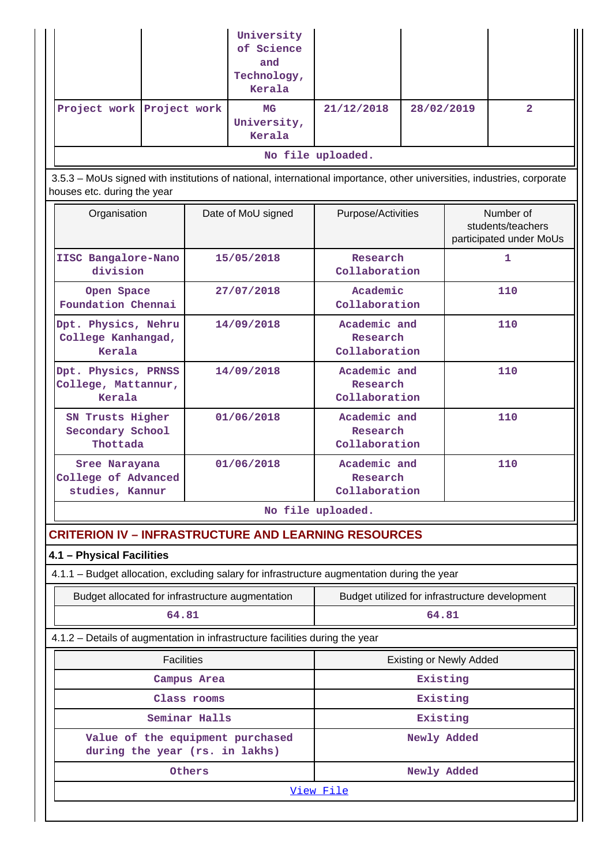|                                                                                                                                                       |               | University<br>of Science<br>and<br>Technology,<br>Kerala |                                                |                                |     |                                                           |
|-------------------------------------------------------------------------------------------------------------------------------------------------------|---------------|----------------------------------------------------------|------------------------------------------------|--------------------------------|-----|-----------------------------------------------------------|
| Project work Project work                                                                                                                             |               | MG<br>University,<br>Kerala                              | 21/12/2018                                     | 28/02/2019                     |     | $\overline{a}$                                            |
|                                                                                                                                                       |               |                                                          | No file uploaded.                              |                                |     |                                                           |
| 3.5.3 - MoUs signed with institutions of national, international importance, other universities, industries, corporate<br>houses etc. during the year |               |                                                          |                                                |                                |     |                                                           |
| Organisation                                                                                                                                          |               | Date of MoU signed                                       | Purpose/Activities                             |                                |     | Number of<br>students/teachers<br>participated under MoUs |
| IISC Bangalore-Nano<br>division                                                                                                                       |               | 15/05/2018                                               | Research<br>Collaboration                      |                                |     | 1                                                         |
| Open Space<br>Foundation Chennai                                                                                                                      |               | 27/07/2018                                               | Academic<br>Collaboration                      |                                |     | 110                                                       |
| Dpt. Physics, Nehru<br>College Kanhangad,<br>Kerala                                                                                                   |               | 14/09/2018                                               | Academic and<br>Research<br>Collaboration      |                                | 110 |                                                           |
| Dpt. Physics, PRNSS<br>College, Mattannur,<br>Kerala                                                                                                  |               | 14/09/2018                                               | Academic and<br>Research<br>Collaboration      |                                | 110 |                                                           |
| SN Trusts Higher<br>Secondary School<br>Thottada                                                                                                      | 01/06/2018    |                                                          | Academic and<br>Research<br>Collaboration      |                                |     | 110                                                       |
| Sree Narayana<br>College of Advanced<br>studies, Kannur                                                                                               |               | 01/06/2018                                               | Academic and<br>Research<br>Collaboration      |                                |     | 110                                                       |
|                                                                                                                                                       |               |                                                          | No file uploaded.                              |                                |     |                                                           |
| <b>CRITERION IV - INFRASTRUCTURE AND LEARNING RESOURCES</b>                                                                                           |               |                                                          |                                                |                                |     |                                                           |
| 4.1 - Physical Facilities                                                                                                                             |               |                                                          |                                                |                                |     |                                                           |
| 4.1.1 - Budget allocation, excluding salary for infrastructure augmentation during the year                                                           |               |                                                          |                                                |                                |     |                                                           |
| Budget allocated for infrastructure augmentation                                                                                                      |               |                                                          | Budget utilized for infrastructure development |                                |     |                                                           |
| 64.81                                                                                                                                                 |               |                                                          |                                                | 64.81                          |     |                                                           |
| 4.1.2 - Details of augmentation in infrastructure facilities during the year                                                                          |               |                                                          |                                                |                                |     |                                                           |
| <b>Facilities</b>                                                                                                                                     |               |                                                          |                                                | <b>Existing or Newly Added</b> |     |                                                           |
|                                                                                                                                                       | Campus Area   |                                                          |                                                | Existing                       |     |                                                           |
|                                                                                                                                                       | Class rooms   |                                                          |                                                | Existing                       |     |                                                           |
|                                                                                                                                                       | Seminar Halls |                                                          |                                                | Existing                       |     |                                                           |
| Value of the equipment purchased<br>during the year (rs. in lakhs)                                                                                    |               |                                                          |                                                | Newly Added                    |     |                                                           |
|                                                                                                                                                       | Others        |                                                          |                                                | Newly Added                    |     |                                                           |
|                                                                                                                                                       |               |                                                          | View File                                      |                                |     |                                                           |
|                                                                                                                                                       |               |                                                          |                                                |                                |     |                                                           |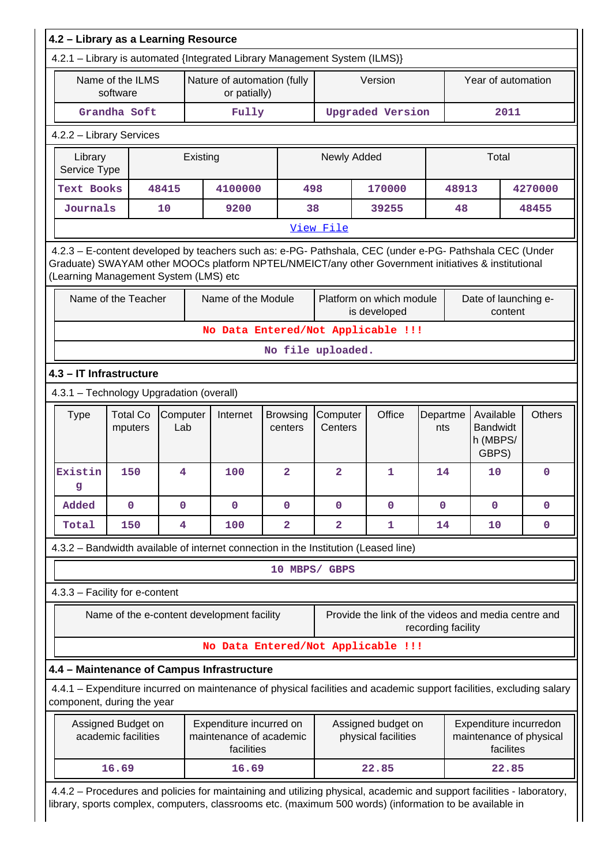| 4.2 - Library as a Learning Resource     |                                           |                 |                                                                                                                                                                                                                |                            |                     |                                                     |                    |                                                                |               |  |  |
|------------------------------------------|-------------------------------------------|-----------------|----------------------------------------------------------------------------------------------------------------------------------------------------------------------------------------------------------------|----------------------------|---------------------|-----------------------------------------------------|--------------------|----------------------------------------------------------------|---------------|--|--|
|                                          |                                           |                 | 4.2.1 - Library is automated {Integrated Library Management System (ILMS)}                                                                                                                                     |                            |                     |                                                     |                    |                                                                |               |  |  |
|                                          | Name of the ILMS<br>software              |                 | Nature of automation (fully<br>or patially)                                                                                                                                                                    |                            |                     | Version                                             |                    | Year of automation                                             |               |  |  |
|                                          | Grandha Soft                              |                 | Fully                                                                                                                                                                                                          |                            |                     | <b>Upgraded Version</b>                             |                    | 2011                                                           |               |  |  |
|                                          | 4.2.2 - Library Services                  |                 |                                                                                                                                                                                                                |                            |                     |                                                     |                    |                                                                |               |  |  |
| Library<br>Service Type                  |                                           | Existing        |                                                                                                                                                                                                                |                            | Newly Added         |                                                     |                    | Total                                                          |               |  |  |
| Text Books                               |                                           | 48415           |                                                                                                                                                                                                                | 4100000<br>498             |                     | 170000                                              | 48913              |                                                                | 4270000       |  |  |
| Journals                                 |                                           | 10              | 9200                                                                                                                                                                                                           |                            | 38                  | 39255                                               | 48                 |                                                                | 48455         |  |  |
|                                          |                                           |                 |                                                                                                                                                                                                                |                            | View File           |                                                     |                    |                                                                |               |  |  |
| (Learning Management System (LMS) etc    |                                           |                 | 4.2.3 - E-content developed by teachers such as: e-PG- Pathshala, CEC (under e-PG- Pathshala CEC (Under<br>Graduate) SWAYAM other MOOCs platform NPTEL/NMEICT/any other Government initiatives & institutional |                            |                     |                                                     |                    |                                                                |               |  |  |
|                                          | Name of the Teacher                       |                 | Name of the Module                                                                                                                                                                                             |                            |                     | Platform on which module<br>is developed            |                    | Date of launching e-<br>content                                |               |  |  |
|                                          |                                           |                 | No Data Entered/Not Applicable !!!                                                                                                                                                                             |                            |                     |                                                     |                    |                                                                |               |  |  |
|                                          |                                           |                 |                                                                                                                                                                                                                |                            | No file uploaded.   |                                                     |                    |                                                                |               |  |  |
| 4.3 - IT Infrastructure                  |                                           |                 |                                                                                                                                                                                                                |                            |                     |                                                     |                    |                                                                |               |  |  |
| 4.3.1 - Technology Upgradation (overall) |                                           |                 |                                                                                                                                                                                                                |                            |                     |                                                     |                    |                                                                |               |  |  |
| <b>Type</b>                              | <b>Total Co</b><br>mputers                | Computer<br>Lab | Internet                                                                                                                                                                                                       | <b>Browsing</b><br>centers | Computer<br>Centers | Office                                              | Departme<br>nts    | Available<br><b>Bandwidt</b><br>h (MBPS/<br>GBPS)              | <b>Others</b> |  |  |
| Existin<br>9                             | 150                                       | 4               | 100                                                                                                                                                                                                            | $\overline{a}$             | $\overline{a}$      | 1                                                   | 14                 | 10                                                             | 0             |  |  |
| Added                                    | $\mathbf 0$                               | $\mathbf{O}$    | $\mathbf{O}$                                                                                                                                                                                                   | $\mathbf{O}$               | $\mathbf{0}$        | $\mathbf 0$                                         | $\mathbf{O}$       | $\mathbf 0$                                                    | 0             |  |  |
| Total                                    | 150                                       | 4               | 100                                                                                                                                                                                                            | 2                          | $\overline{a}$      | 1                                                   | 14                 | 10                                                             | 0             |  |  |
|                                          |                                           |                 | 4.3.2 - Bandwidth available of internet connection in the Institution (Leased line)                                                                                                                            |                            |                     |                                                     |                    |                                                                |               |  |  |
|                                          |                                           |                 |                                                                                                                                                                                                                |                            | 10 MBPS/ GBPS       |                                                     |                    |                                                                |               |  |  |
|                                          | 4.3.3 - Facility for e-content            |                 |                                                                                                                                                                                                                |                            |                     |                                                     |                    |                                                                |               |  |  |
|                                          |                                           |                 | Name of the e-content development facility                                                                                                                                                                     |                            |                     | Provide the link of the videos and media centre and | recording facility |                                                                |               |  |  |
|                                          |                                           |                 | No Data Entered/Not Applicable !!!                                                                                                                                                                             |                            |                     |                                                     |                    |                                                                |               |  |  |
|                                          |                                           |                 | 4.4 - Maintenance of Campus Infrastructure                                                                                                                                                                     |                            |                     |                                                     |                    |                                                                |               |  |  |
| component, during the year               |                                           |                 | 4.4.1 - Expenditure incurred on maintenance of physical facilities and academic support facilities, excluding salary                                                                                           |                            |                     |                                                     |                    |                                                                |               |  |  |
|                                          | Assigned Budget on<br>academic facilities |                 | Expenditure incurred on<br>maintenance of academic<br>facilities                                                                                                                                               |                            |                     | Assigned budget on<br>physical facilities           |                    | Expenditure incurredon<br>maintenance of physical<br>facilites |               |  |  |
|                                          |                                           |                 |                                                                                                                                                                                                                |                            |                     |                                                     |                    |                                                                |               |  |  |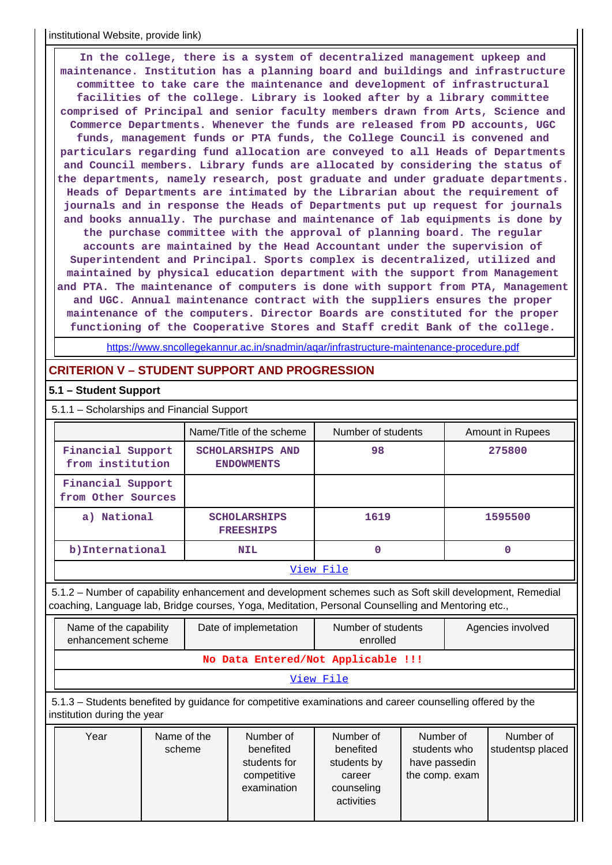institutional Website, provide link)

 **In the college, there is a system of decentralized management upkeep and maintenance. Institution has a planning board and buildings and infrastructure committee to take care the maintenance and development of infrastructural facilities of the college. Library is looked after by a library committee comprised of Principal and senior faculty members drawn from Arts, Science and Commerce Departments. Whenever the funds are released from PD accounts, UGC funds, management funds or PTA funds, the College Council is convened and particulars regarding fund allocation are conveyed to all Heads of Departments and Council members. Library funds are allocated by considering the status of the departments, namely research, post graduate and under graduate departments. Heads of Departments are intimated by the Librarian about the requirement of journals and in response the Heads of Departments put up request for journals and books annually. The purchase and maintenance of lab equipments is done by the purchase committee with the approval of planning board. The regular accounts are maintained by the Head Accountant under the supervision of Superintendent and Principal. Sports complex is decentralized, utilized and maintained by physical education department with the support from Management and PTA. The maintenance of computers is done with support from PTA, Management and UGC. Annual maintenance contract with the suppliers ensures the proper maintenance of the computers. Director Boards are constituted for the proper functioning of the Cooperative Stores and Staff credit Bank of the college.**

<https://www.sncollegekannur.ac.in/snadmin/aqar/infrastructure-maintenance-procedure.pdf>

## **CRITERION V – STUDENT SUPPORT AND PROGRESSION**

#### **5.1 – Student Support**

| 5.1.1 - Scholarships and Financial Support                                                                                                                                                                      |                                         |  |                                                                      |                                                                                                                                             |  |  |                               |  |  |  |  |
|-----------------------------------------------------------------------------------------------------------------------------------------------------------------------------------------------------------------|-----------------------------------------|--|----------------------------------------------------------------------|---------------------------------------------------------------------------------------------------------------------------------------------|--|--|-------------------------------|--|--|--|--|
|                                                                                                                                                                                                                 |                                         |  | Name/Title of the scheme                                             | Number of students                                                                                                                          |  |  | Amount in Rupees              |  |  |  |  |
|                                                                                                                                                                                                                 | Financial Support<br>from institution   |  | <b>SCHOLARSHIPS AND</b><br><b>ENDOWMENTS</b>                         | 98                                                                                                                                          |  |  | 275800                        |  |  |  |  |
|                                                                                                                                                                                                                 | Financial Support<br>from Other Sources |  |                                                                      |                                                                                                                                             |  |  |                               |  |  |  |  |
| a) National                                                                                                                                                                                                     |                                         |  | <b>SCHOLARSHIPS</b><br><b>FREESHIPS</b>                              | 1619                                                                                                                                        |  |  | 1595500                       |  |  |  |  |
| b) International                                                                                                                                                                                                |                                         |  | <b>NIL</b>                                                           | $\mathbf 0$                                                                                                                                 |  |  | $\mathbf 0$                   |  |  |  |  |
|                                                                                                                                                                                                                 |                                         |  |                                                                      | View File                                                                                                                                   |  |  |                               |  |  |  |  |
| 5.1.2 - Number of capability enhancement and development schemes such as Soft skill development, Remedial<br>coaching, Language lab, Bridge courses, Yoga, Meditation, Personal Counselling and Mentoring etc., |                                         |  |                                                                      |                                                                                                                                             |  |  |                               |  |  |  |  |
| Name of the capability<br>enhancement scheme                                                                                                                                                                    |                                         |  | Date of implemetation                                                | Number of students<br>enrolled                                                                                                              |  |  | Agencies involved             |  |  |  |  |
|                                                                                                                                                                                                                 |                                         |  |                                                                      | No Data Entered/Not Applicable !!!                                                                                                          |  |  |                               |  |  |  |  |
|                                                                                                                                                                                                                 |                                         |  |                                                                      | View File                                                                                                                                   |  |  |                               |  |  |  |  |
| institution during the year                                                                                                                                                                                     |                                         |  |                                                                      | 5.1.3 – Students benefited by guidance for competitive examinations and career counselling offered by the                                   |  |  |                               |  |  |  |  |
| Year                                                                                                                                                                                                            | Name of the<br>scheme                   |  | Number of<br>benefited<br>students for<br>competitive<br>examination | Number of<br>Number of<br>benefited<br>students who<br>have passedin<br>students by<br>the comp. exam<br>career<br>counseling<br>activities |  |  | Number of<br>studentsp placed |  |  |  |  |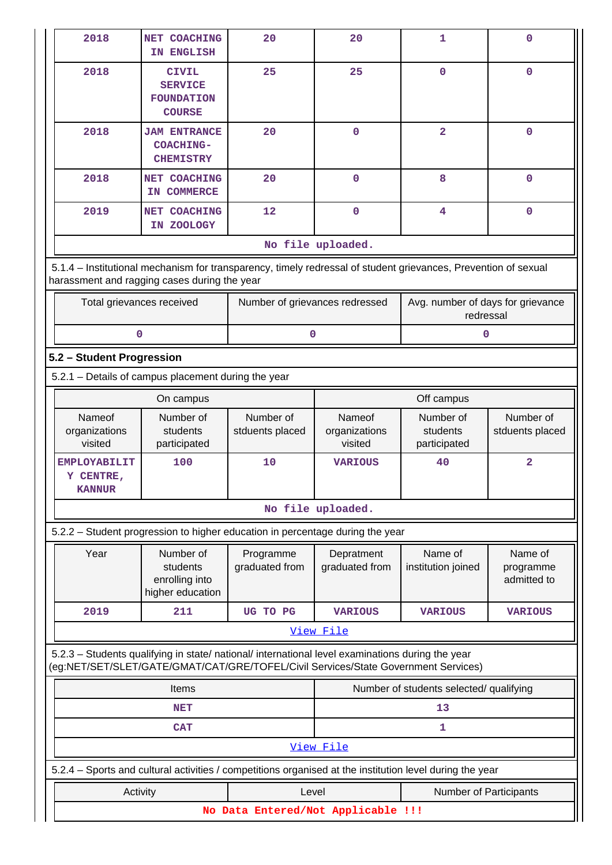| 2018                                                                                                                                                                                   | NET COACHING<br>IN ENGLISH                                           | 20                             | 20                                 | $\mathbf{1}$                                   | $\mathbf 0$                         |  |  |  |
|----------------------------------------------------------------------------------------------------------------------------------------------------------------------------------------|----------------------------------------------------------------------|--------------------------------|------------------------------------|------------------------------------------------|-------------------------------------|--|--|--|
| 2018                                                                                                                                                                                   | <b>CIVIL</b><br><b>SERVICE</b><br><b>FOUNDATION</b><br><b>COURSE</b> | 25                             | 25                                 | $\mathbf 0$                                    | $\mathbf 0$                         |  |  |  |
| 2018                                                                                                                                                                                   | <b>JAM ENTRANCE</b><br><b>COACHING-</b><br><b>CHEMISTRY</b>          | 20                             | $\mathbf 0$                        | $\overline{2}$                                 | $\mathbf 0$                         |  |  |  |
| 2018                                                                                                                                                                                   | NET COACHING<br>IN COMMERCE                                          | 20                             | $\mathbf 0$                        | 8                                              | $\mathbf 0$                         |  |  |  |
| 2019                                                                                                                                                                                   | NET COACHING<br>IN ZOOLOGY                                           | 12                             | $\mathbf 0$                        | 4                                              | $\mathbf 0$                         |  |  |  |
|                                                                                                                                                                                        |                                                                      |                                | No file uploaded.                  |                                                |                                     |  |  |  |
| 5.1.4 – Institutional mechanism for transparency, timely redressal of student grievances, Prevention of sexual<br>harassment and ragging cases during the year                         |                                                                      |                                |                                    |                                                |                                     |  |  |  |
| Total grievances received                                                                                                                                                              |                                                                      | Number of grievances redressed |                                    | Avg. number of days for grievance<br>redressal |                                     |  |  |  |
| 0                                                                                                                                                                                      |                                                                      | 0                              |                                    | 0                                              |                                     |  |  |  |
| 5.2 - Student Progression                                                                                                                                                              |                                                                      |                                |                                    |                                                |                                     |  |  |  |
| 5.2.1 - Details of campus placement during the year                                                                                                                                    |                                                                      |                                |                                    |                                                |                                     |  |  |  |
|                                                                                                                                                                                        | On campus                                                            |                                | Off campus                         |                                                |                                     |  |  |  |
| Nameof<br>organizations<br>visited                                                                                                                                                     | Number of<br>students<br>participated                                | Number of<br>stduents placed   | Nameof<br>organizations<br>visited | Number of<br>students<br>participated          | Number of<br>stduents placed        |  |  |  |
| <b>EMPLOYABILIT</b><br>Y CENTRE,<br><b>KANNUR</b>                                                                                                                                      | 100                                                                  | 10                             | <b>VARIOUS</b>                     | 40                                             | $\overline{\mathbf{2}}$             |  |  |  |
|                                                                                                                                                                                        |                                                                      |                                | No file uploaded.                  |                                                |                                     |  |  |  |
| 5.2.2 - Student progression to higher education in percentage during the year                                                                                                          |                                                                      |                                |                                    |                                                |                                     |  |  |  |
| Year                                                                                                                                                                                   | Number of<br>students<br>enrolling into<br>higher education          | Programme<br>graduated from    | Depratment<br>graduated from       | Name of<br>institution joined                  | Name of<br>programme<br>admitted to |  |  |  |
| 2019                                                                                                                                                                                   | 211                                                                  | UG TO PG                       | <b>VARIOUS</b>                     | <b>VARIOUS</b>                                 | <b>VARIOUS</b>                      |  |  |  |
|                                                                                                                                                                                        |                                                                      |                                | View File                          |                                                |                                     |  |  |  |
| 5.2.3 - Students qualifying in state/ national/ international level examinations during the year<br>(eg:NET/SET/SLET/GATE/GMAT/CAT/GRE/TOFEL/Civil Services/State Government Services) |                                                                      |                                |                                    |                                                |                                     |  |  |  |
|                                                                                                                                                                                        | Items                                                                |                                |                                    | Number of students selected/ qualifying        |                                     |  |  |  |
|                                                                                                                                                                                        | NET                                                                  |                                |                                    | 13                                             |                                     |  |  |  |
|                                                                                                                                                                                        | 1                                                                    |                                |                                    |                                                |                                     |  |  |  |
|                                                                                                                                                                                        |                                                                      |                                | View File                          |                                                |                                     |  |  |  |
| 5.2.4 – Sports and cultural activities / competitions organised at the institution level during the year                                                                               |                                                                      |                                |                                    |                                                |                                     |  |  |  |
| Activity                                                                                                                                                                               |                                                                      | Level                          |                                    | Number of Participants                         |                                     |  |  |  |
|                                                                                                                                                                                        | No Data Entered/Not Applicable !!!                                   |                                |                                    |                                                |                                     |  |  |  |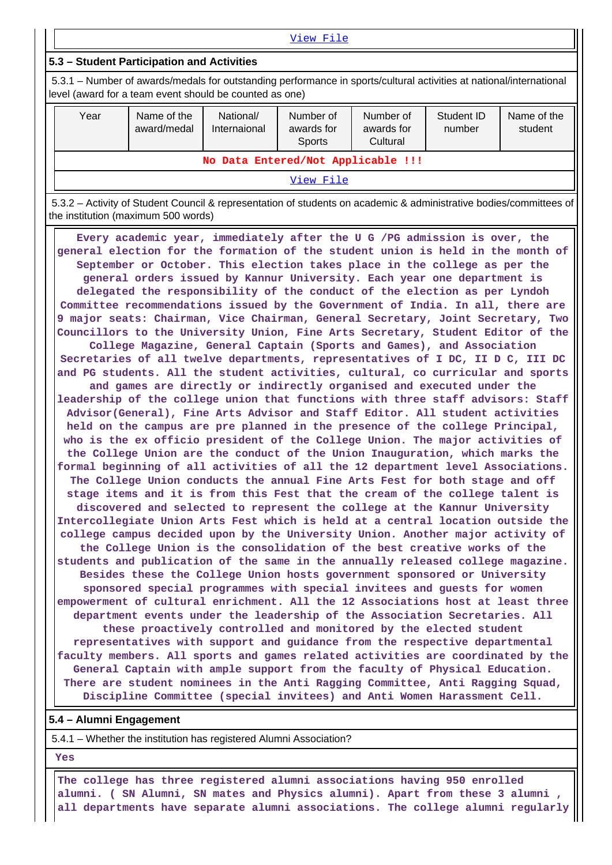| View File                                                                                                                                                                      |                            |                           |                                          |                                     |                      |                        |  |  |  |  |
|--------------------------------------------------------------------------------------------------------------------------------------------------------------------------------|----------------------------|---------------------------|------------------------------------------|-------------------------------------|----------------------|------------------------|--|--|--|--|
| 5.3 - Student Participation and Activities                                                                                                                                     |                            |                           |                                          |                                     |                      |                        |  |  |  |  |
| 5.3.1 – Number of awards/medals for outstanding performance in sports/cultural activities at national/international<br>level (award for a team event should be counted as one) |                            |                           |                                          |                                     |                      |                        |  |  |  |  |
| Year                                                                                                                                                                           | Name of the<br>award/medal | National/<br>Internaional | Number of<br>awards for<br><b>Sports</b> | Number of<br>awards for<br>Cultural | Student ID<br>number | Name of the<br>student |  |  |  |  |
| No Data Entered/Not Applicable !!!                                                                                                                                             |                            |                           |                                          |                                     |                      |                        |  |  |  |  |
| View File                                                                                                                                                                      |                            |                           |                                          |                                     |                      |                        |  |  |  |  |

 5.3.2 – Activity of Student Council & representation of students on academic & administrative bodies/committees of the institution (maximum 500 words)

 **Every academic year, immediately after the U G /PG admission is over, the general election for the formation of the student union is held in the month of September or October. This election takes place in the college as per the general orders issued by Kannur University. Each year one department is delegated the responsibility of the conduct of the election as per Lyndoh Committee recommendations issued by the Government of India. In all, there are 9 major seats: Chairman, Vice Chairman, General Secretary, Joint Secretary, Two Councillors to the University Union, Fine Arts Secretary, Student Editor of the College Magazine, General Captain (Sports and Games), and Association Secretaries of all twelve departments, representatives of I DC, II D C, III DC and PG students. All the student activities, cultural, co curricular and sports and games are directly or indirectly organised and executed under the leadership of the college union that functions with three staff advisors: Staff Advisor(General), Fine Arts Advisor and Staff Editor. All student activities held on the campus are pre planned in the presence of the college Principal, who is the ex officio president of the College Union. The major activities of the College Union are the conduct of the Union Inauguration, which marks the formal beginning of all activities of all the 12 department level Associations. The College Union conducts the annual Fine Arts Fest for both stage and off stage items and it is from this Fest that the cream of the college talent is discovered and selected to represent the college at the Kannur University Intercollegiate Union Arts Fest which is held at a central location outside the college campus decided upon by the University Union. Another major activity of the College Union is the consolidation of the best creative works of the students and publication of the same in the annually released college magazine. Besides these the College Union hosts government sponsored or University sponsored special programmes with special invitees and guests for women empowerment of cultural enrichment. All the 12 Associations host at least three department events under the leadership of the Association Secretaries. All these proactively controlled and monitored by the elected student representatives with support and guidance from the respective departmental faculty members. All sports and games related activities are coordinated by the General Captain with ample support from the faculty of Physical Education. There are student nominees in the Anti Ragging Committee, Anti Ragging Squad, Discipline Committee (special invitees) and Anti Women Harassment Cell.**

#### **5.4 – Alumni Engagement**

5.4.1 – Whether the institution has registered Alumni Association?

 **Yes**

 **The college has three registered alumni associations having 950 enrolled alumni. ( SN Alumni, SN mates and Physics alumni). Apart from these 3 alumni , all departments have separate alumni associations. The college alumni regularly**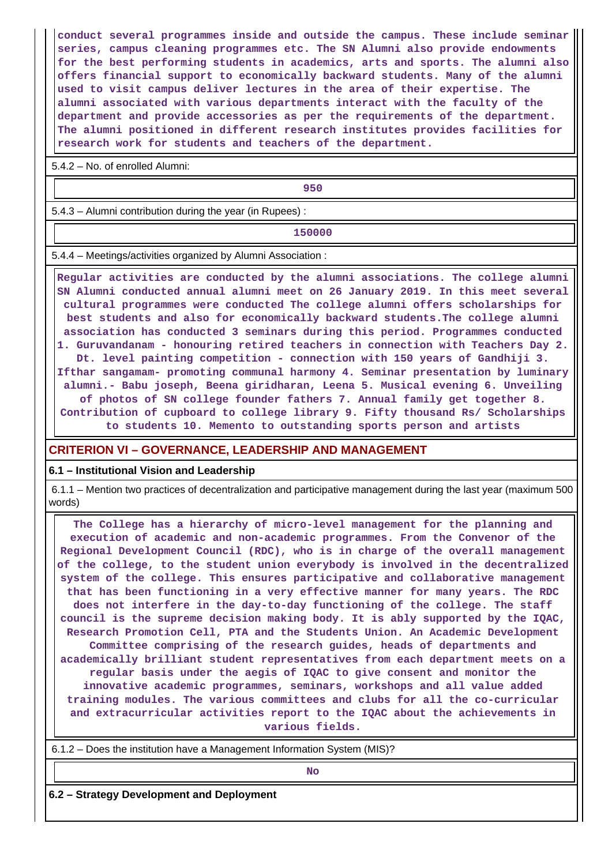**conduct several programmes inside and outside the campus. These include seminar series, campus cleaning programmes etc. The SN Alumni also provide endowments for the best performing students in academics, arts and sports. The alumni also offers financial support to economically backward students. Many of the alumni used to visit campus deliver lectures in the area of their expertise. The alumni associated with various departments interact with the faculty of the department and provide accessories as per the requirements of the department. The alumni positioned in different research institutes provides facilities for research work for students and teachers of the department.**

5.4.2 – No. of enrolled Alumni:

**950**

5.4.3 – Alumni contribution during the year (in Rupees) :

**150000**

5.4.4 – Meetings/activities organized by Alumni Association :

 **Regular activities are conducted by the alumni associations. The college alumni SN Alumni conducted annual alumni meet on 26 January 2019. In this meet several cultural programmes were conducted The college alumni offers scholarships for best students and also for economically backward students.The college alumni association has conducted 3 seminars during this period. Programmes conducted 1. Guruvandanam - honouring retired teachers in connection with Teachers Day 2. Dt. level painting competition - connection with 150 years of Gandhiji 3. Ifthar sangamam- promoting communal harmony 4. Seminar presentation by luminary alumni.- Babu joseph, Beena giridharan, Leena 5. Musical evening 6. Unveiling of photos of SN college founder fathers 7. Annual family get together 8. Contribution of cupboard to college library 9. Fifty thousand Rs/ Scholarships to students 10. Memento to outstanding sports person and artists**

## **CRITERION VI – GOVERNANCE, LEADERSHIP AND MANAGEMENT**

#### **6.1 – Institutional Vision and Leadership**

 6.1.1 – Mention two practices of decentralization and participative management during the last year (maximum 500 words)

 **The College has a hierarchy of micro-level management for the planning and execution of academic and non-academic programmes. From the Convenor of the Regional Development Council (RDC), who is in charge of the overall management of the college, to the student union everybody is involved in the decentralized system of the college. This ensures participative and collaborative management that has been functioning in a very effective manner for many years. The RDC does not interfere in the day-to-day functioning of the college. The staff council is the supreme decision making body. It is ably supported by the IQAC, Research Promotion Cell, PTA and the Students Union. An Academic Development Committee comprising of the research guides, heads of departments and academically brilliant student representatives from each department meets on a regular basis under the aegis of IQAC to give consent and monitor the innovative academic programmes, seminars, workshops and all value added training modules. The various committees and clubs for all the co-curricular and extracurricular activities report to the IQAC about the achievements in various fields.**

6.1.2 – Does the institution have a Management Information System (MIS)?

**No. 2. In the case of the case of the case of the case of the case of the case of the case of the case of the case of the case of the case of the case of the case of the case of the case of the case of the case of the cas** 

**6.2 – Strategy Development and Deployment**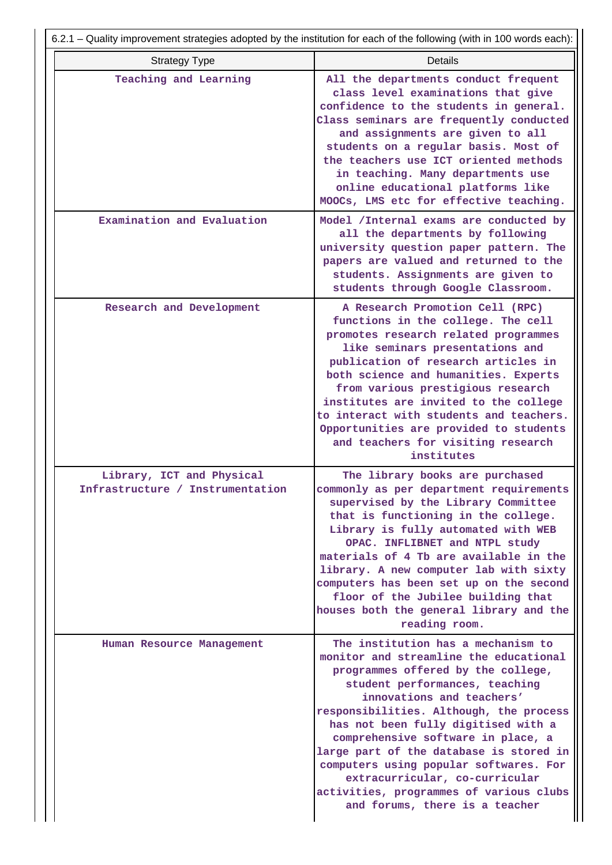|                                                               | 6.2.1 – Quality improvement strategies adopted by the institution for each of the following (with in 100 words each):                                                                                                                                                                                                                                                                                                                                                                                         |
|---------------------------------------------------------------|---------------------------------------------------------------------------------------------------------------------------------------------------------------------------------------------------------------------------------------------------------------------------------------------------------------------------------------------------------------------------------------------------------------------------------------------------------------------------------------------------------------|
| <b>Strategy Type</b>                                          | <b>Details</b>                                                                                                                                                                                                                                                                                                                                                                                                                                                                                                |
| Teaching and Learning                                         | All the departments conduct frequent<br>class level examinations that give<br>confidence to the students in general.<br>Class seminars are frequently conducted<br>and assignments are given to all<br>students on a regular basis. Most of<br>the teachers use ICT oriented methods<br>in teaching. Many departments use<br>online educational platforms like<br>MOOCs, LMS etc for effective teaching.                                                                                                      |
| Examination and Evaluation                                    | Model /Internal exams are conducted by<br>all the departments by following<br>university question paper pattern. The<br>papers are valued and returned to the<br>students. Assignments are given to<br>students through Google Classroom.                                                                                                                                                                                                                                                                     |
| Research and Development                                      | A Research Promotion Cell (RPC)<br>functions in the college. The cell<br>promotes research related programmes<br>like seminars presentations and<br>publication of research articles in<br>both science and humanities. Experts<br>from various prestigious research<br>institutes are invited to the college<br>to interact with students and teachers.<br>Opportunities are provided to students<br>and teachers for visiting research<br>institutes                                                        |
| Library, ICT and Physical<br>Infrastructure / Instrumentation | The library books are purchased<br>commonly as per department requirements<br>supervised by the Library Committee<br>that is functioning in the college.<br>Library is fully automated with WEB<br>OPAC. INFLIBNET and NTPL study<br>materials of 4 Tb are available in the<br>library. A new computer lab with sixty<br>computers has been set up on the second<br>floor of the Jubilee building that<br>houses both the general library and the<br>reading room.                                            |
| Human Resource Management                                     | The institution has a mechanism to<br>monitor and streamline the educational<br>programmes offered by the college,<br>student performances, teaching<br>innovations and teachers'<br>responsibilities. Although, the process<br>has not been fully digitised with a<br>comprehensive software in place, a<br>large part of the database is stored in<br>computers using popular softwares. For<br>extracurricular, co-curricular<br>activities, programmes of various clubs<br>and forums, there is a teacher |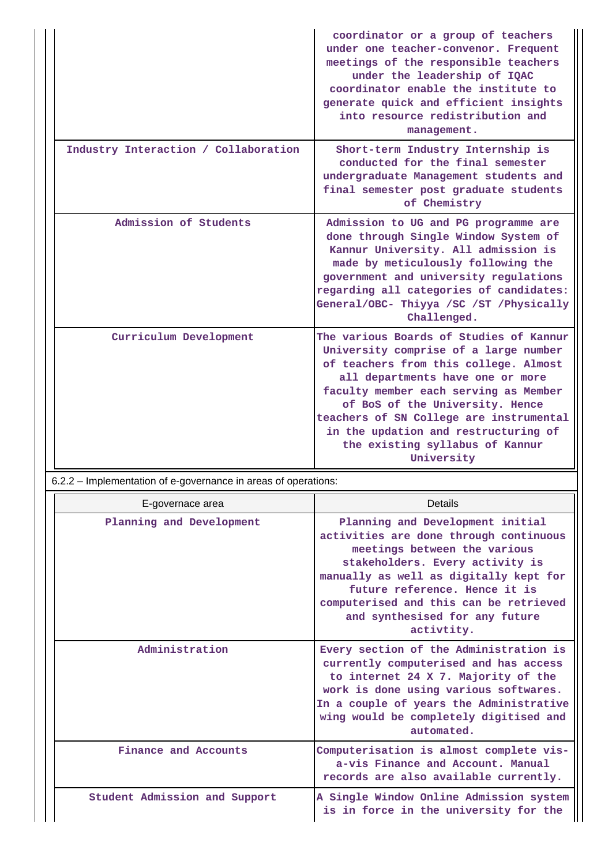|                                      | coordinator or a group of teachers<br>under one teacher-convenor. Frequent<br>meetings of the responsible teachers<br>under the leadership of IQAC<br>coordinator enable the institute to<br>generate quick and efficient insights<br>into resource redistribution and<br>management.                                                                                         |
|--------------------------------------|-------------------------------------------------------------------------------------------------------------------------------------------------------------------------------------------------------------------------------------------------------------------------------------------------------------------------------------------------------------------------------|
| Industry Interaction / Collaboration | Short-term Industry Internship is<br>conducted for the final semester<br>undergraduate Management students and<br>final semester post graduate students<br>of Chemistry                                                                                                                                                                                                       |
| Admission of Students                | Admission to UG and PG programme are<br>done through Single Window System of<br>Kannur University. All admission is<br>made by meticulously following the<br>government and university regulations<br>regarding all categories of candidates:<br>General/OBC- Thiyya /SC /ST /Physically<br>Challenged.                                                                       |
| Curriculum Development               | The various Boards of Studies of Kannur<br>University comprise of a large number<br>of teachers from this college. Almost<br>all departments have one or more<br>faculty member each serving as Member<br>of BoS of the University. Hence<br>teachers of SN College are instrumental<br>in the updation and restructuring of<br>the existing syllabus of Kannur<br>University |

6.2.2 – Implementation of e-governance in areas of operations:

| E-governace area              | Details                                                                                                                                                                                                                                                                                                            |
|-------------------------------|--------------------------------------------------------------------------------------------------------------------------------------------------------------------------------------------------------------------------------------------------------------------------------------------------------------------|
| Planning and Development      | Planning and Development initial<br>activities are done through continuous<br>meetings between the various<br>stakeholders. Every activity is<br>manually as well as digitally kept for<br>future reference. Hence it is<br>computerised and this can be retrieved<br>and synthesised for any future<br>activtity. |
| Administration                | Every section of the Administration is<br>currently computerised and has access<br>to internet 24 X 7. Majority of the<br>work is done using various softwares.<br>In a couple of years the Administrative<br>wing would be completely digitised and<br>automated.                                                 |
| Finance and Accounts          | Computerisation is almost complete vis-<br>a-vis Finance and Account. Manual<br>records are also available currently.                                                                                                                                                                                              |
| Student Admission and Support | A Single Window Online Admission system<br>is in force in the university for the                                                                                                                                                                                                                                   |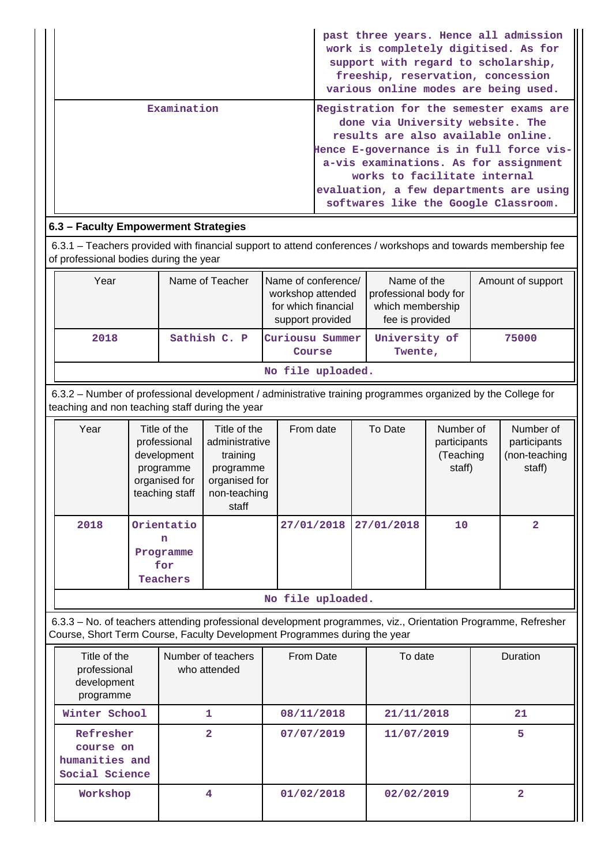|             | past three years. Hence all admission<br>work is completely digitised. As for<br>support with regard to scholarship,<br>freeship, reservation, concession<br>various online modes are being used.                                                                                                                         |
|-------------|---------------------------------------------------------------------------------------------------------------------------------------------------------------------------------------------------------------------------------------------------------------------------------------------------------------------------|
| Examination | Registration for the semester exams are<br>done via University website. The<br>results are also available online.<br>Hence E-governance is in full force vis-<br>a-vis examinations. As for assignment<br>works to facilitate internal<br>evaluation, a few departments are using<br>softwares like the Google Classroom. |

## **6.3 – Faculty Empowerment Strategies**

 6.3.1 – Teachers provided with financial support to attend conferences / workshops and towards membership fee of professional bodies during the year

| Year              | Name of Teacher | Name of conference/<br>workshop attended<br>for which financial<br>support provided | Name of the<br>professional body for<br>which membership<br>fee is provided | Amount of support |  |  |  |  |
|-------------------|-----------------|-------------------------------------------------------------------------------------|-----------------------------------------------------------------------------|-------------------|--|--|--|--|
| 2018              | Sathish C. P    | Curiousu Summer<br>Course                                                           | University of<br>Twente,                                                    | 75000             |  |  |  |  |
| No file uploaded. |                 |                                                                                     |                                                                             |                   |  |  |  |  |

 6.3.2 – Number of professional development / administrative training programmes organized by the College for teaching and non teaching staff during the year

| Year | Title of the<br>professional<br>development<br>programme<br>organised for<br>teaching staff | Title of the<br>administrative<br>training<br>programme<br>organised for<br>non-teaching<br>staff | From date  | To Date    | Number of<br>participants<br>(Teaching<br>staff) | Number of<br>participants<br>(non-teaching<br>staff) |  |  |  |
|------|---------------------------------------------------------------------------------------------|---------------------------------------------------------------------------------------------------|------------|------------|--------------------------------------------------|------------------------------------------------------|--|--|--|
| 2018 | Orientatio<br>n<br>Programme<br>for<br>Teachers                                             |                                                                                                   | 27/01/2018 | 27/01/2018 | 10                                               | $\overline{2}$                                       |  |  |  |
|      | No file uploaded.                                                                           |                                                                                                   |            |            |                                                  |                                                      |  |  |  |

 6.3.3 – No. of teachers attending professional development programmes, viz., Orientation Programme, Refresher Course, Short Term Course, Faculty Development Programmes during the year

| Title of the<br>professional<br>development<br>programme   | Number of teachers<br>who attended | From Date  | To date    | <b>Duration</b> |
|------------------------------------------------------------|------------------------------------|------------|------------|-----------------|
| Winter School                                              | 1                                  | 08/11/2018 | 21/11/2018 | 21              |
| Refresher<br>course on<br>humanities and<br>Social Science | $\overline{2}$                     | 07/07/2019 | 11/07/2019 | 5               |
| Workshop                                                   | 4                                  | 01/02/2018 | 02/02/2019 | 2               |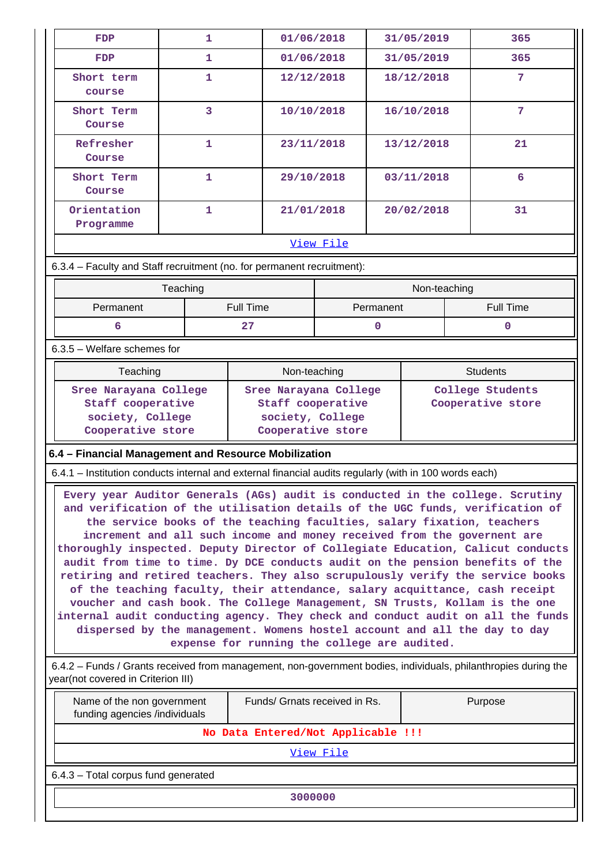| <b>FDP</b>                                                                                                                                                                                                                                                                                                                                                                                                                                                                                                                                                                                                                                                                                                                                                                                                                    | 1            |                                                                                                                        | 01/06/2018                            | 31/05/2019  |              |  | 365               |
|-------------------------------------------------------------------------------------------------------------------------------------------------------------------------------------------------------------------------------------------------------------------------------------------------------------------------------------------------------------------------------------------------------------------------------------------------------------------------------------------------------------------------------------------------------------------------------------------------------------------------------------------------------------------------------------------------------------------------------------------------------------------------------------------------------------------------------|--------------|------------------------------------------------------------------------------------------------------------------------|---------------------------------------|-------------|--------------|--|-------------------|
| FDP                                                                                                                                                                                                                                                                                                                                                                                                                                                                                                                                                                                                                                                                                                                                                                                                                           | 1            |                                                                                                                        | 01/06/2018                            |             | 31/05/2019   |  | 365               |
| Short term<br>course                                                                                                                                                                                                                                                                                                                                                                                                                                                                                                                                                                                                                                                                                                                                                                                                          | 1            |                                                                                                                        | 12/12/2018                            |             | 18/12/2018   |  | $\overline{7}$    |
| Short Term<br>Course                                                                                                                                                                                                                                                                                                                                                                                                                                                                                                                                                                                                                                                                                                                                                                                                          | 3            |                                                                                                                        | 10/10/2018                            |             | 16/10/2018   |  | $7\phantom{.0}$   |
| Refresher<br>Course                                                                                                                                                                                                                                                                                                                                                                                                                                                                                                                                                                                                                                                                                                                                                                                                           | 1            |                                                                                                                        | 23/11/2018                            |             | 13/12/2018   |  | 21                |
| Short Term<br>Course                                                                                                                                                                                                                                                                                                                                                                                                                                                                                                                                                                                                                                                                                                                                                                                                          | 1            |                                                                                                                        | 29/10/2018                            |             | 03/11/2018   |  | 6                 |
| Orientation<br>Programme                                                                                                                                                                                                                                                                                                                                                                                                                                                                                                                                                                                                                                                                                                                                                                                                      | $\mathbf{1}$ |                                                                                                                        | 21/01/2018                            |             | 20/02/2018   |  | 31                |
|                                                                                                                                                                                                                                                                                                                                                                                                                                                                                                                                                                                                                                                                                                                                                                                                                               |              |                                                                                                                        | <u>View File</u>                      |             |              |  |                   |
| 6.3.4 - Faculty and Staff recruitment (no. for permanent recruitment):                                                                                                                                                                                                                                                                                                                                                                                                                                                                                                                                                                                                                                                                                                                                                        |              |                                                                                                                        |                                       |             |              |  |                   |
|                                                                                                                                                                                                                                                                                                                                                                                                                                                                                                                                                                                                                                                                                                                                                                                                                               | Teaching     |                                                                                                                        |                                       |             | Non-teaching |  |                   |
| Permanent                                                                                                                                                                                                                                                                                                                                                                                                                                                                                                                                                                                                                                                                                                                                                                                                                     |              | <b>Full Time</b>                                                                                                       |                                       | Permanent   |              |  | <b>Full Time</b>  |
| 6                                                                                                                                                                                                                                                                                                                                                                                                                                                                                                                                                                                                                                                                                                                                                                                                                             |              | 27                                                                                                                     |                                       | $\mathbf 0$ |              |  | $\mathbf 0$       |
| 6.3.5 - Welfare schemes for                                                                                                                                                                                                                                                                                                                                                                                                                                                                                                                                                                                                                                                                                                                                                                                                   |              |                                                                                                                        |                                       |             |              |  |                   |
| Teaching                                                                                                                                                                                                                                                                                                                                                                                                                                                                                                                                                                                                                                                                                                                                                                                                                      |              |                                                                                                                        | Non-teaching                          |             |              |  | <b>Students</b>   |
| Sree Narayana College                                                                                                                                                                                                                                                                                                                                                                                                                                                                                                                                                                                                                                                                                                                                                                                                         |              |                                                                                                                        | Sree Narayana College                 |             |              |  | College Students  |
| Staff cooperative                                                                                                                                                                                                                                                                                                                                                                                                                                                                                                                                                                                                                                                                                                                                                                                                             |              |                                                                                                                        | Staff cooperative<br>society, College |             |              |  | Cooperative store |
| society, College<br>Cooperative store                                                                                                                                                                                                                                                                                                                                                                                                                                                                                                                                                                                                                                                                                                                                                                                         |              |                                                                                                                        | Cooperative store                     |             |              |  |                   |
| 6.4 - Financial Management and Resource Mobilization                                                                                                                                                                                                                                                                                                                                                                                                                                                                                                                                                                                                                                                                                                                                                                          |              |                                                                                                                        |                                       |             |              |  |                   |
| 6.4.1 - Institution conducts internal and external financial audits regularly (with in 100 words each)                                                                                                                                                                                                                                                                                                                                                                                                                                                                                                                                                                                                                                                                                                                        |              |                                                                                                                        |                                       |             |              |  |                   |
|                                                                                                                                                                                                                                                                                                                                                                                                                                                                                                                                                                                                                                                                                                                                                                                                                               |              |                                                                                                                        |                                       |             |              |  |                   |
| Every year Auditor Generals (AGs) audit is conducted in the college. Scrutiny<br>and verification of the utilisation details of the UGC funds, verification of<br>increment and all such income and money received from the governent are<br>thoroughly inspected. Deputy Director of Collegiate Education, Calicut conducts<br>audit from time to time. Dy DCE conducts audit on the pension benefits of the<br>retiring and retired teachers. They also scrupulously verify the service books<br>of the teaching faculty, their attendance, salary acquittance, cash receipt<br>voucher and cash book. The College Management, SN Trusts, Kollam is the one<br>internal audit conducting agency. They check and conduct audit on all the funds<br>dispersed by the management. Womens hostel account and all the day to day |              | the service books of the teaching faculties, salary fixation, teachers<br>expense for running the college are audited. |                                       |             |              |  |                   |
| 6.4.2 - Funds / Grants received from management, non-government bodies, individuals, philanthropies during the<br>year(not covered in Criterion III)                                                                                                                                                                                                                                                                                                                                                                                                                                                                                                                                                                                                                                                                          |              |                                                                                                                        |                                       |             |              |  |                   |
| Name of the non government<br>funding agencies /individuals                                                                                                                                                                                                                                                                                                                                                                                                                                                                                                                                                                                                                                                                                                                                                                   |              |                                                                                                                        | Funds/ Grnats received in Rs.         |             |              |  | Purpose           |
|                                                                                                                                                                                                                                                                                                                                                                                                                                                                                                                                                                                                                                                                                                                                                                                                                               |              | No Data Entered/Not Applicable !!!                                                                                     |                                       |             |              |  |                   |
|                                                                                                                                                                                                                                                                                                                                                                                                                                                                                                                                                                                                                                                                                                                                                                                                                               |              |                                                                                                                        | View File                             |             |              |  |                   |
| 6.4.3 - Total corpus fund generated                                                                                                                                                                                                                                                                                                                                                                                                                                                                                                                                                                                                                                                                                                                                                                                           |              |                                                                                                                        |                                       |             |              |  |                   |
| 3000000                                                                                                                                                                                                                                                                                                                                                                                                                                                                                                                                                                                                                                                                                                                                                                                                                       |              |                                                                                                                        |                                       |             |              |  |                   |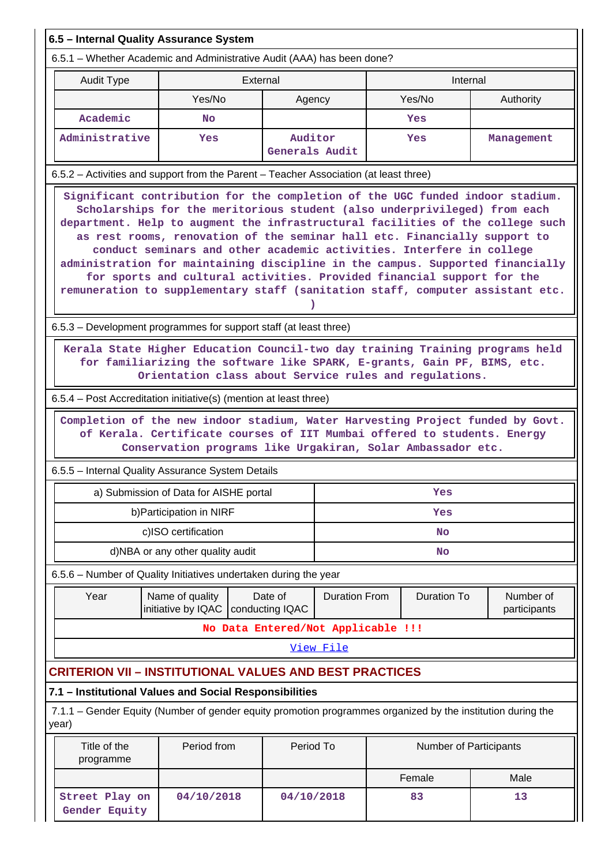| 6.5 - Internal Quality Assurance System                                                                                                                                                                                                                                                                                                                                                                                                                                                                                                                                                                                                                                                                              |                                        |                            |                                                                                                                                         |  |                        |                           |  |
|----------------------------------------------------------------------------------------------------------------------------------------------------------------------------------------------------------------------------------------------------------------------------------------------------------------------------------------------------------------------------------------------------------------------------------------------------------------------------------------------------------------------------------------------------------------------------------------------------------------------------------------------------------------------------------------------------------------------|----------------------------------------|----------------------------|-----------------------------------------------------------------------------------------------------------------------------------------|--|------------------------|---------------------------|--|
| 6.5.1 – Whether Academic and Administrative Audit (AAA) has been done?                                                                                                                                                                                                                                                                                                                                                                                                                                                                                                                                                                                                                                               |                                        |                            |                                                                                                                                         |  |                        |                           |  |
| <b>Audit Type</b>                                                                                                                                                                                                                                                                                                                                                                                                                                                                                                                                                                                                                                                                                                    |                                        | External                   |                                                                                                                                         |  | Internal               |                           |  |
|                                                                                                                                                                                                                                                                                                                                                                                                                                                                                                                                                                                                                                                                                                                      | Yes/No                                 |                            | Agency                                                                                                                                  |  | Yes/No                 | Authority                 |  |
| Academic                                                                                                                                                                                                                                                                                                                                                                                                                                                                                                                                                                                                                                                                                                             | <b>No</b>                              |                            |                                                                                                                                         |  | Yes                    |                           |  |
| Administrative                                                                                                                                                                                                                                                                                                                                                                                                                                                                                                                                                                                                                                                                                                       | Yes                                    |                            | Auditor<br>Generals Audit                                                                                                               |  | Yes                    | Management                |  |
| 6.5.2 - Activities and support from the Parent - Teacher Association (at least three)                                                                                                                                                                                                                                                                                                                                                                                                                                                                                                                                                                                                                                |                                        |                            |                                                                                                                                         |  |                        |                           |  |
| Significant contribution for the completion of the UGC funded indoor stadium.<br>Scholarships for the meritorious student (also underprivileged) from each<br>department. Help to augment the infrastructural facilities of the college such<br>as rest rooms, renovation of the seminar hall etc. Financially support to<br>conduct seminars and other academic activities. Interfere in college<br>administration for maintaining discipline in the campus. Supported financially<br>for sports and cultural activities. Provided financial support for the<br>remuneration to supplementary staff (sanitation staff, computer assistant etc.<br>6.5.3 – Development programmes for support staff (at least three) |                                        |                            |                                                                                                                                         |  |                        |                           |  |
|                                                                                                                                                                                                                                                                                                                                                                                                                                                                                                                                                                                                                                                                                                                      |                                        |                            |                                                                                                                                         |  |                        |                           |  |
| Kerala State Higher Education Council-two day training Training programs held                                                                                                                                                                                                                                                                                                                                                                                                                                                                                                                                                                                                                                        |                                        |                            | for familiarizing the software like SPARK, E-grants, Gain PF, BIMS, etc.<br>Orientation class about Service rules and regulations.      |  |                        |                           |  |
| 6.5.4 – Post Accreditation initiative(s) (mention at least three)                                                                                                                                                                                                                                                                                                                                                                                                                                                                                                                                                                                                                                                    |                                        |                            |                                                                                                                                         |  |                        |                           |  |
| Completion of the new indoor stadium, Water Harvesting Project funded by Govt.                                                                                                                                                                                                                                                                                                                                                                                                                                                                                                                                                                                                                                       |                                        |                            | of Kerala. Certificate courses of IIT Mumbai offered to students. Energy<br>Conservation programs like Urgakiran, Solar Ambassador etc. |  |                        |                           |  |
| 6.5.5 - Internal Quality Assurance System Details                                                                                                                                                                                                                                                                                                                                                                                                                                                                                                                                                                                                                                                                    |                                        |                            |                                                                                                                                         |  |                        |                           |  |
|                                                                                                                                                                                                                                                                                                                                                                                                                                                                                                                                                                                                                                                                                                                      | a) Submission of Data for AISHE portal |                            |                                                                                                                                         |  | Yes                    |                           |  |
|                                                                                                                                                                                                                                                                                                                                                                                                                                                                                                                                                                                                                                                                                                                      | b) Participation in NIRF               |                            |                                                                                                                                         |  | Yes                    |                           |  |
|                                                                                                                                                                                                                                                                                                                                                                                                                                                                                                                                                                                                                                                                                                                      | c)ISO certification                    |                            |                                                                                                                                         |  | No                     |                           |  |
|                                                                                                                                                                                                                                                                                                                                                                                                                                                                                                                                                                                                                                                                                                                      | d)NBA or any other quality audit       |                            |                                                                                                                                         |  | No                     |                           |  |
| 6.5.6 - Number of Quality Initiatives undertaken during the year                                                                                                                                                                                                                                                                                                                                                                                                                                                                                                                                                                                                                                                     |                                        |                            |                                                                                                                                         |  |                        |                           |  |
| Year                                                                                                                                                                                                                                                                                                                                                                                                                                                                                                                                                                                                                                                                                                                 | Name of quality<br>initiative by IQAC  | Date of<br>conducting IQAC | <b>Duration From</b>                                                                                                                    |  | <b>Duration To</b>     | Number of<br>participants |  |
|                                                                                                                                                                                                                                                                                                                                                                                                                                                                                                                                                                                                                                                                                                                      |                                        |                            | No Data Entered/Not Applicable !!!                                                                                                      |  |                        |                           |  |
|                                                                                                                                                                                                                                                                                                                                                                                                                                                                                                                                                                                                                                                                                                                      |                                        |                            | View File                                                                                                                               |  |                        |                           |  |
| <b>CRITERION VII - INSTITUTIONAL VALUES AND BEST PRACTICES</b>                                                                                                                                                                                                                                                                                                                                                                                                                                                                                                                                                                                                                                                       |                                        |                            |                                                                                                                                         |  |                        |                           |  |
| 7.1 - Institutional Values and Social Responsibilities                                                                                                                                                                                                                                                                                                                                                                                                                                                                                                                                                                                                                                                               |                                        |                            |                                                                                                                                         |  |                        |                           |  |
| 7.1.1 – Gender Equity (Number of gender equity promotion programmes organized by the institution during the<br>year)                                                                                                                                                                                                                                                                                                                                                                                                                                                                                                                                                                                                 |                                        |                            |                                                                                                                                         |  |                        |                           |  |
| Title of the<br>programme                                                                                                                                                                                                                                                                                                                                                                                                                                                                                                                                                                                                                                                                                            | Period from                            |                            | Period To                                                                                                                               |  | Number of Participants |                           |  |
|                                                                                                                                                                                                                                                                                                                                                                                                                                                                                                                                                                                                                                                                                                                      |                                        |                            |                                                                                                                                         |  | Female                 | Male                      |  |
| Street Play on<br>Gender Equity                                                                                                                                                                                                                                                                                                                                                                                                                                                                                                                                                                                                                                                                                      | 04/10/2018                             |                            | 04/10/2018                                                                                                                              |  | 83                     | 13                        |  |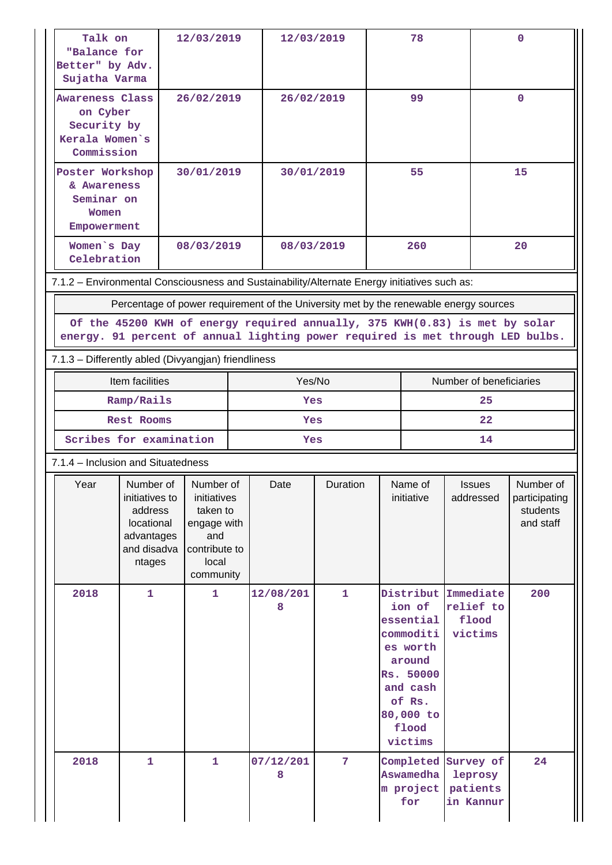| Talk on<br>"Balance for<br>Better" by Adv.<br>Sujatha Varma                                                                                                                                                                                            |                                                                                               | 12/03/2019                                                                                        |        | 12/03/2019     |                 | 78                                                                                                                                      |                                            |                                               | $\mathbf 0$                                         |
|--------------------------------------------------------------------------------------------------------------------------------------------------------------------------------------------------------------------------------------------------------|-----------------------------------------------------------------------------------------------|---------------------------------------------------------------------------------------------------|--------|----------------|-----------------|-----------------------------------------------------------------------------------------------------------------------------------------|--------------------------------------------|-----------------------------------------------|-----------------------------------------------------|
| <b>Awareness Class</b><br>on Cyber<br>Security by<br>Kerala Women's<br>Commission                                                                                                                                                                      |                                                                                               | 26/02/2019                                                                                        |        | 26/02/2019     |                 | 99                                                                                                                                      |                                            |                                               | 0                                                   |
| Poster Workshop<br>& Awareness<br>Seminar on<br>Women<br>Empowerment                                                                                                                                                                                   |                                                                                               | 30/01/2019                                                                                        |        | 30/01/2019     |                 | 55                                                                                                                                      |                                            |                                               | 15                                                  |
| Women's Day<br>Celebration                                                                                                                                                                                                                             |                                                                                               | 08/03/2019                                                                                        |        | 08/03/2019     |                 |                                                                                                                                         | 260                                        |                                               | 20                                                  |
| 7.1.2 - Environmental Consciousness and Sustainability/Alternate Energy initiatives such as:                                                                                                                                                           |                                                                                               |                                                                                                   |        |                |                 |                                                                                                                                         |                                            |                                               |                                                     |
| Percentage of power requirement of the University met by the renewable energy sources<br>Of the 45200 KWH of energy required annually, 375 KWH(0.83) is met by solar<br>energy. 91 percent of annual lighting power required is met through LED bulbs. |                                                                                               |                                                                                                   |        |                |                 |                                                                                                                                         |                                            |                                               |                                                     |
|                                                                                                                                                                                                                                                        |                                                                                               |                                                                                                   |        |                |                 |                                                                                                                                         |                                            |                                               |                                                     |
| 7.1.3 - Differently abled (Divyangjan) friendliness                                                                                                                                                                                                    |                                                                                               |                                                                                                   |        |                |                 |                                                                                                                                         |                                            |                                               |                                                     |
|                                                                                                                                                                                                                                                        | Item facilities                                                                               |                                                                                                   | Yes/No |                |                 | Number of beneficiaries                                                                                                                 |                                            |                                               |                                                     |
|                                                                                                                                                                                                                                                        | Ramp/Rails                                                                                    |                                                                                                   | Yes    |                |                 | 25                                                                                                                                      |                                            |                                               |                                                     |
|                                                                                                                                                                                                                                                        | <b>Rest Rooms</b>                                                                             |                                                                                                   |        |                | Yes             |                                                                                                                                         |                                            | 22                                            |                                                     |
| Scribes for examination                                                                                                                                                                                                                                |                                                                                               |                                                                                                   | Yes    |                |                 |                                                                                                                                         | 14                                         |                                               |                                                     |
| 7.1.4 - Inclusion and Situatedness                                                                                                                                                                                                                     |                                                                                               |                                                                                                   |        |                |                 |                                                                                                                                         |                                            |                                               |                                                     |
| Year                                                                                                                                                                                                                                                   | Number of I<br>initiatives to<br>address<br>locational<br>advantages<br>and disadva<br>ntages | Number of<br>initiatives<br>taken to<br>engage with<br>and<br>contribute to<br>local<br>community |        | Date           | <b>Duration</b> | Name of<br>initiative                                                                                                                   |                                            | <b>Issues</b><br>addressed                    | Number of<br>participating<br>students<br>and staff |
| 2018                                                                                                                                                                                                                                                   | $\mathbf{1}$                                                                                  | 1.                                                                                                |        | 12/08/201<br>8 | $\mathbf{1}$    | Distribut<br>ion of<br>essential<br>commoditi<br>es worth<br>around<br>Rs. 50000<br>and cash<br>of Rs.<br>80,000 to<br>flood<br>victims |                                            | Immediate<br>relief to<br>flood<br>victims    | 200                                                 |
| 2018                                                                                                                                                                                                                                                   | $\mathbf{1}$                                                                                  | 1                                                                                                 |        | 07/12/201<br>8 | 7               |                                                                                                                                         | Completed<br>Aswamedha<br>m project<br>for | Survey of<br>leprosy<br>patients<br>in Kannur | 24                                                  |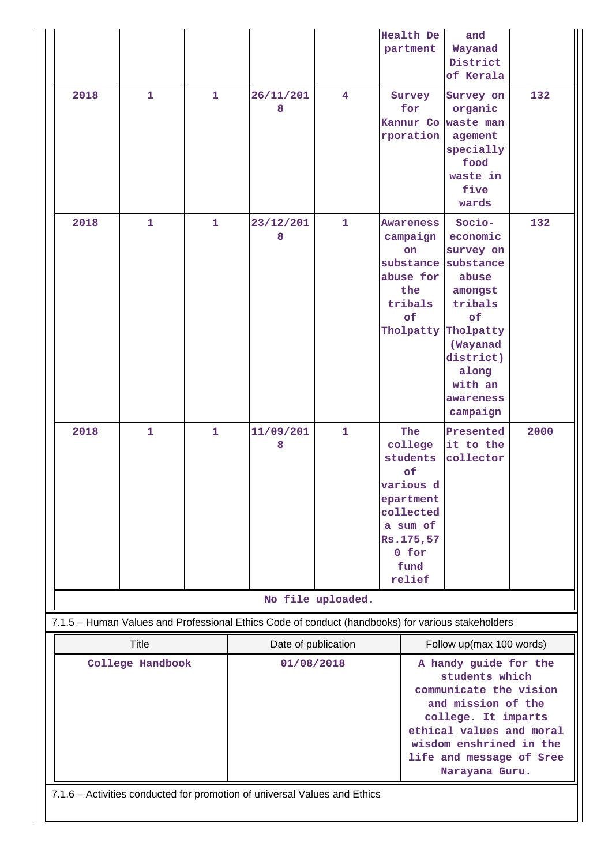|  |                                                                                                   |              |              |                     |              | <b>Health De</b><br>partment                        | and<br>Wayanad<br>District        |      |  |  |
|--|---------------------------------------------------------------------------------------------------|--------------|--------------|---------------------|--------------|-----------------------------------------------------|-----------------------------------|------|--|--|
|  | 2018                                                                                              | $\mathbf{1}$ | $\mathbf{1}$ | 26/11/201<br>8      | 4            | Survey<br>for                                       | of Kerala<br>Survey on<br>organic | 132  |  |  |
|  |                                                                                                   |              |              |                     |              | Kannur Co<br>rporation                              | waste man<br>agement              |      |  |  |
|  |                                                                                                   |              |              |                     |              |                                                     | specially<br>food                 |      |  |  |
|  |                                                                                                   |              |              |                     |              |                                                     | waste in                          |      |  |  |
|  |                                                                                                   |              |              |                     |              |                                                     | five<br>wards                     |      |  |  |
|  | 2018                                                                                              | $\mathbf{1}$ | $\mathbf{1}$ | 23/12/201<br>8      | $\mathbf{1}$ | Awareness<br>campaign                               | Socio-<br>economic                | 132  |  |  |
|  |                                                                                                   |              |              |                     |              | on                                                  | survey on                         |      |  |  |
|  |                                                                                                   |              |              |                     |              | substance<br>abuse for                              | substance<br>abuse                |      |  |  |
|  |                                                                                                   |              |              |                     |              | the                                                 | amongst                           |      |  |  |
|  |                                                                                                   |              |              |                     |              | tribals<br>of                                       | tribals<br>of                     |      |  |  |
|  |                                                                                                   |              |              |                     |              | Tholpatty                                           | Tholpatty                         |      |  |  |
|  |                                                                                                   |              |              |                     |              |                                                     | (Wayanad<br>district)             |      |  |  |
|  |                                                                                                   |              |              |                     |              |                                                     | along                             |      |  |  |
|  |                                                                                                   |              |              |                     |              |                                                     | with an<br>awareness              |      |  |  |
|  |                                                                                                   |              |              |                     |              |                                                     | campaign                          |      |  |  |
|  | 2018                                                                                              | $\mathbf{1}$ | $\mathbf{1}$ | 11/09/201<br>8      | $\mathbf{1}$ | The<br>college                                      | Presented<br>it to the            | 2000 |  |  |
|  |                                                                                                   |              |              |                     |              | students                                            | collector                         |      |  |  |
|  |                                                                                                   |              |              |                     |              | of<br>various d                                     |                                   |      |  |  |
|  |                                                                                                   |              |              |                     |              | epartment                                           |                                   |      |  |  |
|  |                                                                                                   |              |              |                     |              | collected<br>a sum of                               |                                   |      |  |  |
|  |                                                                                                   |              |              |                     |              | Rs.175,57                                           |                                   |      |  |  |
|  |                                                                                                   |              |              |                     |              | 0 for<br>fund                                       |                                   |      |  |  |
|  |                                                                                                   |              |              |                     |              | relief                                              |                                   |      |  |  |
|  | No file uploaded.                                                                                 |              |              |                     |              |                                                     |                                   |      |  |  |
|  | 7.1.5 - Human Values and Professional Ethics Code of conduct (handbooks) for various stakeholders |              |              |                     |              |                                                     |                                   |      |  |  |
|  | <b>Title</b>                                                                                      |              |              | Date of publication |              | Follow up(max 100 words)                            |                                   |      |  |  |
|  | College Handbook                                                                                  |              |              | 01/08/2018          |              | A handy guide for the<br>students which             |                                   |      |  |  |
|  |                                                                                                   |              |              |                     |              | communicate the vision<br>and mission of the        |                                   |      |  |  |
|  |                                                                                                   |              |              |                     |              | college. It imparts                                 |                                   |      |  |  |
|  |                                                                                                   |              |              |                     |              | ethical values and moral<br>wisdom enshrined in the |                                   |      |  |  |
|  |                                                                                                   |              |              |                     |              | life and message of Sree                            |                                   |      |  |  |
|  | Narayana Guru.                                                                                    |              |              |                     |              |                                                     |                                   |      |  |  |
|  | 7.1.6 - Activities conducted for promotion of universal Values and Ethics                         |              |              |                     |              |                                                     |                                   |      |  |  |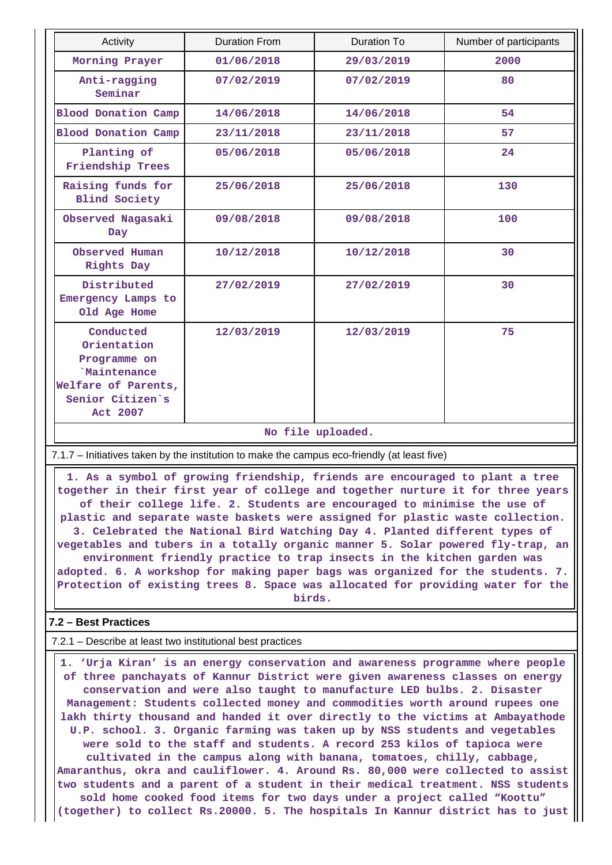| Activity                                                                                                              | <b>Duration From</b> | <b>Duration To</b> | Number of participants |  |  |  |
|-----------------------------------------------------------------------------------------------------------------------|----------------------|--------------------|------------------------|--|--|--|
| Morning Prayer                                                                                                        | 01/06/2018           | 29/03/2019         | 2000                   |  |  |  |
| Anti-ragging<br>Seminar                                                                                               | 07/02/2019           | 07/02/2019         | 80                     |  |  |  |
| <b>Blood Donation Camp</b>                                                                                            | 14/06/2018           | 14/06/2018         | 54                     |  |  |  |
| <b>Blood Donation Camp</b>                                                                                            | 23/11/2018           | 23/11/2018         | 57                     |  |  |  |
| Planting of<br>Friendship Trees                                                                                       | 05/06/2018           | 05/06/2018         | 24                     |  |  |  |
| Raising funds for<br><b>Blind Society</b>                                                                             | 25/06/2018           | 25/06/2018         | 130                    |  |  |  |
| Observed Nagasaki<br>Day                                                                                              | 09/08/2018           | 09/08/2018         | 100                    |  |  |  |
| Observed Human<br>Rights Day                                                                                          | 10/12/2018           | 10/12/2018         | 30                     |  |  |  |
| Distributed<br>Emergency Lamps to<br>Old Age Home                                                                     | 27/02/2019           | 27/02/2019         | 30                     |  |  |  |
| Conducted<br>Orientation<br>Programme on<br><b>Maintenance</b><br>Welfare of Parents,<br>Senior Citizen's<br>Act 2007 | 12/03/2019           | 12/03/2019         | 75                     |  |  |  |
|                                                                                                                       | No file uploaded.    |                    |                        |  |  |  |

7.1.7 – Initiatives taken by the institution to make the campus eco-friendly (at least five)

 **1. As a symbol of growing friendship, friends are encouraged to plant a tree together in their first year of college and together nurture it for three years of their college life. 2. Students are encouraged to minimise the use of plastic and separate waste baskets were assigned for plastic waste collection. 3. Celebrated the National Bird Watching Day 4. Planted different types of vegetables and tubers in a totally organic manner 5. Solar powered fly-trap, an environment friendly practice to trap insects in the kitchen garden was adopted. 6. A workshop for making paper bags was organized for the students. 7. Protection of existing trees 8. Space was allocated for providing water for the birds.**

#### **7.2 – Best Practices**

7.2.1 – Describe at least two institutional best practices

 **1. 'Urja Kiran' is an energy conservation and awareness programme where people of three panchayats of Kannur District were given awareness classes on energy conservation and were also taught to manufacture LED bulbs. 2. Disaster Management: Students collected money and commodities worth around rupees one lakh thirty thousand and handed it over directly to the victims at Ambayathode U.P. school. 3. Organic farming was taken up by NSS students and vegetables were sold to the staff and students. A record 253 kilos of tapioca were cultivated in the campus along with banana, tomatoes, chilly, cabbage, Amaranthus, okra and cauliflower. 4. Around Rs. 80,000 were collected to assist two students and a parent of a student in their medical treatment. NSS students sold home cooked food items for two days under a project called "Koottu" (together) to collect Rs.20000. 5. The hospitals In Kannur district has to just**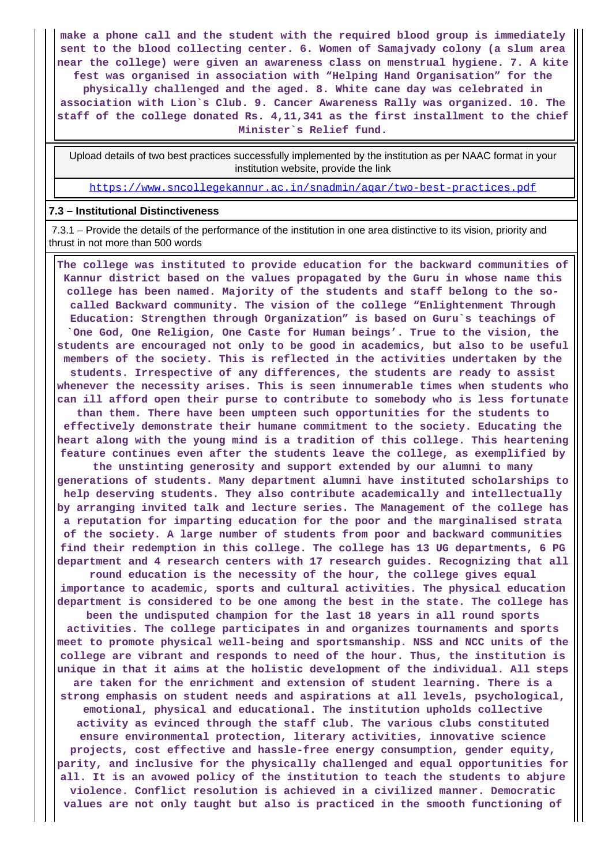**make a phone call and the student with the required blood group is immediately sent to the blood collecting center. 6. Women of Samajvady colony (a slum area near the college) were given an awareness class on menstrual hygiene. 7. A kite fest was organised in association with "Helping Hand Organisation" for the**

**physically challenged and the aged. 8. White cane day was celebrated in association with Lion`s Club. 9. Cancer Awareness Rally was organized. 10. The staff of the college donated Rs. 4,11,341 as the first installment to the chief Minister`s Relief fund.**

 Upload details of two best practices successfully implemented by the institution as per NAAC format in your institution website, provide the link

<https://www.sncollegekannur.ac.in/snadmin/aqar/two-best-practices.pdf>

#### **7.3 – Institutional Distinctiveness**

 7.3.1 – Provide the details of the performance of the institution in one area distinctive to its vision, priority and thrust in not more than 500 words

 **The college was instituted to provide education for the backward communities of Kannur district based on the values propagated by the Guru in whose name this college has been named. Majority of the students and staff belong to the socalled Backward community. The vision of the college "Enlightenment Through Education: Strengthen through Organization" is based on Guru`s teachings of `One God, One Religion, One Caste for Human beings'. True to the vision, the students are encouraged not only to be good in academics, but also to be useful members of the society. This is reflected in the activities undertaken by the students. Irrespective of any differences, the students are ready to assist whenever the necessity arises. This is seen innumerable times when students who can ill afford open their purse to contribute to somebody who is less fortunate than them. There have been umpteen such opportunities for the students to effectively demonstrate their humane commitment to the society. Educating the heart along with the young mind is a tradition of this college. This heartening feature continues even after the students leave the college, as exemplified by the unstinting generosity and support extended by our alumni to many generations of students. Many department alumni have instituted scholarships to**

**help deserving students. They also contribute academically and intellectually by arranging invited talk and lecture series. The Management of the college has a reputation for imparting education for the poor and the marginalised strata of the society. A large number of students from poor and backward communities find their redemption in this college. The college has 13 UG departments, 6 PG department and 4 research centers with 17 research guides. Recognizing that all**

**round education is the necessity of the hour, the college gives equal importance to academic, sports and cultural activities. The physical education department is considered to be one among the best in the state. The college has**

**been the undisputed champion for the last 18 years in all round sports activities. The college participates in and organizes tournaments and sports meet to promote physical well-being and sportsmanship. NSS and NCC units of the college are vibrant and responds to need of the hour. Thus, the institution is unique in that it aims at the holistic development of the individual. All steps are taken for the enrichment and extension of student learning. There is a strong emphasis on student needs and aspirations at all levels, psychological, emotional, physical and educational. The institution upholds collective activity as evinced through the staff club. The various clubs constituted ensure environmental protection, literary activities, innovative science projects, cost effective and hassle-free energy consumption, gender equity, parity, and inclusive for the physically challenged and equal opportunities for all. It is an avowed policy of the institution to teach the students to abjure violence. Conflict resolution is achieved in a civilized manner. Democratic values are not only taught but also is practiced in the smooth functioning of**